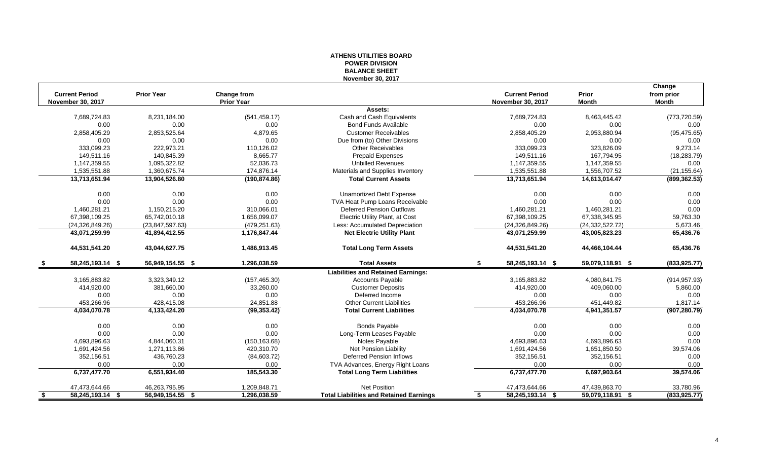# **ATHENS UTILITIES BOARD POWER DIVISION BALANCE SHEET November 30, 2017**

|     |                          |                   |                   |                                                |                          |                   | Change        |
|-----|--------------------------|-------------------|-------------------|------------------------------------------------|--------------------------|-------------------|---------------|
|     | <b>Current Period</b>    | <b>Prior Year</b> | Change from       |                                                | <b>Current Period</b>    | Prior             | from prior    |
|     | <b>November 30, 2017</b> |                   | <b>Prior Year</b> |                                                | <b>November 30, 2017</b> | <b>Month</b>      | <b>Month</b>  |
|     |                          |                   |                   | Assets:                                        |                          |                   |               |
|     | 7,689,724.83             | 8,231,184.00      | (541, 459.17)     | Cash and Cash Equivalents                      | 7,689,724.83             | 8,463,445.42      | (773, 720.59) |
|     | 0.00                     | 0.00              | 0.00              | <b>Bond Funds Available</b>                    | 0.00                     | 0.00              | 0.00          |
|     | 2,858,405.29             | 2,853,525.64      | 4,879.65          | <b>Customer Receivables</b>                    | 2,858,405.29             | 2,953,880.94      | (95, 475.65)  |
|     | 0.00                     | 0.00              | 0.00              | Due from (to) Other Divisions                  | 0.00                     | 0.00              | 0.00          |
|     | 333,099.23               | 222,973.21        | 110,126.02        | <b>Other Receivables</b>                       | 333,099.23               | 323,826.09        | 9,273.14      |
|     | 149,511.16               | 140,845.39        | 8,665.77          | <b>Prepaid Expenses</b>                        | 149,511.16               | 167,794.95        | (18, 283.79)  |
|     | 1,147,359.55             | 1,095,322.82      | 52,036.73         | <b>Unbilled Revenues</b>                       | 1,147,359.55             | 1,147,359.55      | 0.00          |
|     | 1,535,551.88             | 1,360,675.74      | 174,876.14        | Materials and Supplies Inventory               | 1,535,551.88             | 1,556,707.52      | (21, 155.64)  |
|     | 13,713,651.94            | 13,904,526.80     | (190, 874.86)     | <b>Total Current Assets</b>                    | 13,713,651.94            | 14,613,014.47     | (899, 362.53) |
|     | 0.00                     | 0.00              | 0.00              | <b>Unamortized Debt Expense</b>                | 0.00                     | 0.00              | 0.00          |
|     | 0.00                     | 0.00              | 0.00              | TVA Heat Pump Loans Receivable                 | 0.00                     | 0.00              | 0.00          |
|     | 1,460,281.21             | 1,150,215.20      | 310,066.01        | <b>Deferred Pension Outflows</b>               | 1,460,281.21             | 1,460,281.21      | 0.00          |
|     | 67,398,109.25            | 65,742,010.18     | 1,656,099.07      | Electric Utility Plant, at Cost                | 67,398,109.25            | 67,338,345.95     | 59,763.30     |
|     | (24.326.849.26)          | (23,847,597.63)   | (479, 251.63)     | Less: Accumulated Depreciation                 | (24, 326, 849.26)        | (24, 332, 522.72) | 5,673.46      |
|     | 43,071,259.99            | 41,894,412.55     | 1,176,847.44      | <b>Net Electric Utility Plant</b>              | 43,071,259.99            | 43,005,823.23     | 65,436.76     |
|     | 44,531,541.20            | 43,044,627.75     | 1,486,913.45      | <b>Total Long Term Assets</b>                  | 44,531,541.20            | 44,466,104.44     | 65,436.76     |
| -SS | 58,245,193.14 \$         | 56,949,154.55 \$  | 1,296,038.59      | <b>Total Assets</b>                            | 58,245,193.14 \$<br>S.   | 59,079,118.91 \$  | (833, 925.77) |
|     |                          |                   |                   | <b>Liabilities and Retained Earnings:</b>      |                          |                   |               |
|     | 3,165,883.82             | 3,323,349.12      | (157, 465.30)     | <b>Accounts Payable</b>                        | 3,165,883.82             | 4,080,841.75      | (914, 957.93) |
|     | 414,920.00               | 381,660.00        | 33,260.00         | <b>Customer Deposits</b>                       | 414,920.00               | 409,060.00        | 5,860.00      |
|     | 0.00                     | 0.00              | 0.00              | Deferred Income                                | 0.00                     | 0.00              | 0.00          |
|     | 453,266.96               | 428,415.08        | 24,851.88         | <b>Other Current Liabilities</b>               | 453,266.96               | 451,449.82        | 1,817.14      |
|     | 4,034,070.78             | 4,133,424.20      | (99, 353.42)      | <b>Total Current Liabilities</b>               | 4,034,070.78             | 4,941,351.57      | (907, 280.79) |
|     | 0.00                     | 0.00              | 0.00              | <b>Bonds Payable</b>                           | 0.00                     | 0.00              | 0.00          |
|     | 0.00                     | 0.00              | 0.00              | Long-Term Leases Payable                       | 0.00                     | 0.00              | 0.00          |
|     | 4.693.896.63             | 4,844,060.31      | (150, 163.68)     | Notes Payable                                  | 4,693,896.63             | 4,693,896.63      | 0.00          |
|     | 1,691,424.56             | 1,271,113.86      | 420,310.70        | <b>Net Pension Liability</b>                   | 1,691,424.56             | 1,651,850.50      | 39,574.06     |
|     | 352,156.51               | 436,760.23        | (84,603.72)       | <b>Deferred Pension Inflows</b>                | 352,156.51               | 352,156.51        | 0.00          |
|     | 0.00                     | 0.00              | 0.00              | TVA Advances, Energy Right Loans               | 0.00                     | 0.00              | 0.00          |
|     | 6,737,477.70             | 6,551,934.40      | 185,543.30        | <b>Total Long Term Liabilities</b>             | 6,737,477.70             | 6,697,903.64      | 39,574.06     |
|     | 47,473,644.66            | 46,263,795.95     | 1,209,848.71      | <b>Net Position</b>                            | 47,473,644.66            | 47,439,863.70     | 33,780.96     |
| -S. | 58,245,193.14 \$         | 56,949,154.55 \$  | 1.296.038.59      | <b>Total Liabilities and Retained Earnings</b> | 58,245,193.14 \$<br>\$.  | 59,079,118.91 \$  | (833, 925.77) |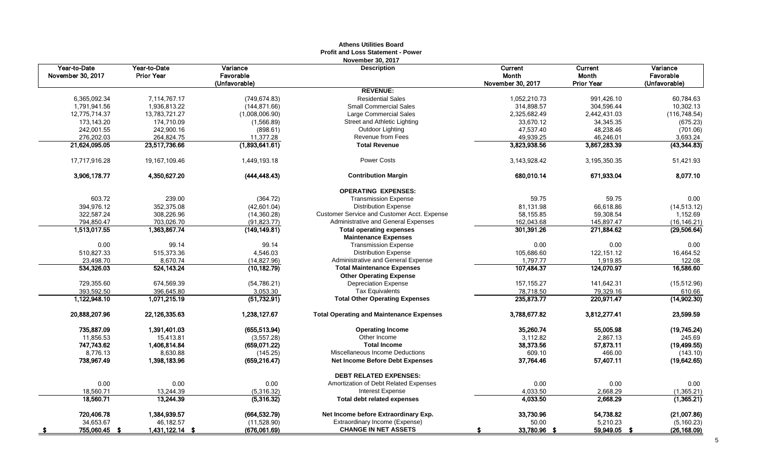|                                   |                                   |                             | AUICIIS UUIIUCS DUAIU<br>Profit and Loss Statement - Power |                   |                           |                         |
|-----------------------------------|-----------------------------------|-----------------------------|------------------------------------------------------------|-------------------|---------------------------|-------------------------|
| Year-to-Date<br>November 30, 2017 | Year-to-Date<br><b>Prior Year</b> | Variance<br>Favorable       | <b>November 30, 2017</b><br><b>Description</b>             | Current<br>Month  | Current<br><b>Month</b>   | Variance<br>Favorable   |
|                                   |                                   | (Unfavorable)               | <b>REVENUE:</b>                                            | November 30, 2017 | <b>Prior Year</b>         | (Unfavorable)           |
| 6,365,092.34                      | 7,114,767.17                      | (749, 674.83)               | <b>Residential Sales</b>                                   | 1,052,210.73      | 991,426.10                | 60,784.63               |
| 1,791,941.56                      | 1,936,813.22                      | (144, 871.66)               | <b>Small Commercial Sales</b>                              | 314,898.57        | 304,596.44                | 10,302.13               |
| 12,775,714.37                     | 13,783,721.27                     | (1,008,006.90)              | Large Commercial Sales                                     | 2,325,682.49      | 2,442,431.03              | (116, 748.54)           |
| 173,143.20                        | 174,710.09                        |                             | Street and Athletic Lighting                               | 33,670.12         | 34,345.35                 | (675.23)                |
| 242,001.55                        | 242,900.16                        | (1,566.89)<br>(898.61)      | Outdoor Lighting                                           | 47,537.40         | 48,238.46                 | (701.06)                |
|                                   |                                   |                             | Revenue from Fees                                          | 49.939.25         |                           |                         |
| 276,202.03<br>21,624,095.05       | 264,824.75<br>23,517,736.66       | 11,377.28<br>(1,893,641.61) | <b>Total Revenue</b>                                       | 3,823,938.56      | 46,246.01<br>3,867,283.39 | 3,693.24<br>(43,344.83) |
|                                   |                                   |                             |                                                            |                   |                           |                         |
| 17,717,916.28                     | 19,167,109.46                     | 1,449,193.18                | <b>Power Costs</b>                                         | 3,143,928.42      | 3, 195, 350. 35           | 51,421.93               |
| 3,906,178.77                      | 4,350,627.20                      | (444, 448.43)               | <b>Contribution Margin</b>                                 | 680,010.14        | 671,933.04                | 8,077.10                |
|                                   |                                   |                             | <b>OPERATING EXPENSES:</b>                                 |                   |                           |                         |
| 603.72                            | 239.00                            | (364.72)                    | <b>Transmission Expense</b>                                | 59.75             | 59.75                     | 0.00                    |
| 394,976.12                        | 352,375.08                        | (42,601.04)                 | <b>Distribution Expense</b>                                | 81,131.98         | 66,618.86                 | (14, 513.12)            |
| 322,587.24                        | 308,226.96                        | (14, 360.28)                | Customer Service and Customer Acct. Expense                | 58,155.85         | 59,308.54                 | 1,152.69                |
| 794,850.47                        | 703,026.70                        | (91, 823.77)                | Administrative and General Expenses                        | 162,043.68        | 145,897.47                | (16, 146.21)            |
| 1,513,017.55                      | 1,363,867.74                      | (149, 149.81)               | <b>Total operating expenses</b>                            | 301,391.26        | 271,884.62                | (29, 506.64)            |
|                                   |                                   |                             | <b>Maintenance Expenses</b>                                |                   |                           |                         |
| 0.00                              | 99.14                             | 99.14                       | <b>Transmission Expense</b>                                | 0.00              | 0.00                      | 0.00                    |
| 510,827.33                        | 515,373.36                        | 4,546.03                    | <b>Distribution Expense</b>                                | 105,686.60        | 122, 151.12               | 16,464.52               |
| 23,498.70                         | 8,670.74                          | (14, 827.96)                | Administrative and General Expense                         | 1,797.77          | 1,919.85                  | 122.08                  |
| 534,326.03                        | 524,143.24                        | (10, 182.79)                | <b>Total Maintenance Expenses</b>                          | 107,484.37        | 124,070.97                | 16,586.60               |
|                                   |                                   |                             | <b>Other Operating Expense</b>                             |                   |                           |                         |
| 729,355.60                        | 674,569.39                        | (54, 786.21)                | <b>Depreciation Expense</b>                                | 157, 155.27       | 141,642.31                | (15, 512.96)            |
| 393,592.50                        | 396,645.80                        | 3,053.30                    | <b>Tax Equivalents</b>                                     | 78,718.50         | 79,329.16                 | 610.66                  |
| 1,122,948.10                      | 1,071,215.19                      | (51, 732.91)                | <b>Total Other Operating Expenses</b>                      | 235,873.77        | 220,971.47                | (14,902.30)             |
| 20,888,207.96                     | 22,126,335.63                     | 1,238,127.67                | <b>Total Operating and Maintenance Expenses</b>            | 3,788,677.82      | 3,812,277.41              | 23,599.59               |
| 735,887.09                        | 1,391,401.03                      | (655, 513.94)               | <b>Operating Income</b>                                    | 35,260.74         | 55,005.98                 | (19,745.24)             |
| 11,856.53                         | 15,413.81                         | (3,557.28)                  | Other Income                                               | 3,112.82          | 2,867.13                  | 245.69                  |
| 747,743.62                        | 1,406,814.84                      | (659.071.22)                | <b>Total Income</b>                                        | 38,373.56         | 57,873.11                 | (19, 499.55)            |
| 8,776.13                          | 8,630.88                          | (145.25)                    | Miscellaneous Income Deductions                            | 609.10            | 466.00                    | (143.10)                |
| 738,967.49                        | 1,398,183.96                      | (659, 216.47)               | <b>Net Income Before Debt Expenses</b>                     | 37,764.46         | 57,407.11                 | (19,642.65)             |
|                                   |                                   |                             | <b>DEBT RELATED EXPENSES:</b>                              |                   |                           |                         |
| 0.00                              | 0.00                              | 0.00                        | Amortization of Debt Related Expenses                      | 0.00              | 0.00                      | 0.00                    |
| 18,560.71                         | 13,244.39                         | (5,316.32)                  | <b>Interest Expense</b>                                    | 4,033.50          | 2,668.29                  | (1,365.21)              |
| 18,560.71                         | 13,244.39                         | (5,316.32)                  | <b>Total debt related expenses</b>                         | 4,033.50          | 2,668.29                  | (1,365.21)              |
| 720,406.78                        | 1,384,939.57                      | (664, 532.79)               | Net Income before Extraordinary Exp.                       | 33,730.96         | 54,738.82                 | (21,007.86)             |
| 34,653.67                         | 46,182.57                         | (11,528.90)                 | Extraordinary Income (Expense)                             | 50.00             | 5,210.23                  | (5, 160.23)             |
| 755,060.45 \$<br><u>_s</u>        | 1,431,122.14 \$                   | (676,061.69)                | <b>CHANGE IN NET ASSETS</b>                                | 33,780.96 \$      | $59,949.05$ \$            | (26, 168.09)            |

# **Athens Utilities Board**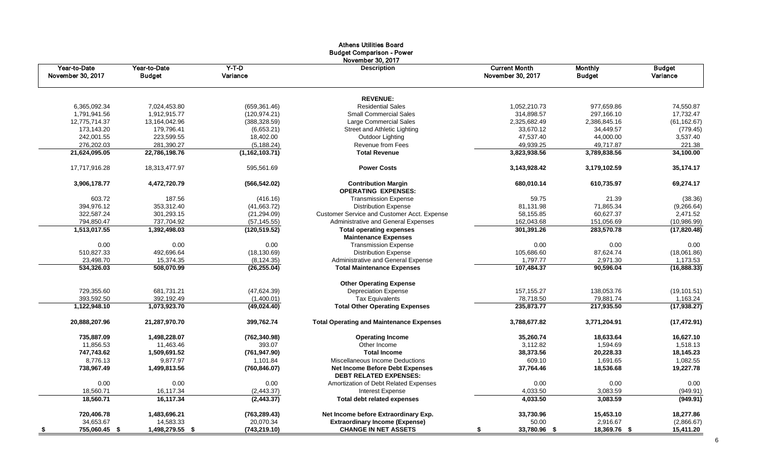|                                   |                               |                     | Aurors Ounuos Doard<br><b>Budget Comparison - Power</b>          |                                           |                                 |                           |
|-----------------------------------|-------------------------------|---------------------|------------------------------------------------------------------|-------------------------------------------|---------------------------------|---------------------------|
| Year-to-Date<br>November 30, 2017 | Year-to-Date<br><b>Budget</b> | $Y-T-D$<br>Variance | November 30, 2017<br><b>Description</b>                          | <b>Current Month</b><br>November 30, 2017 | <b>Monthly</b><br><b>Budget</b> | <b>Budget</b><br>Variance |
|                                   |                               |                     | <b>REVENUE:</b>                                                  |                                           |                                 |                           |
| 6,365,092.34                      | 7,024,453.80                  | (659, 361.46)       | <b>Residential Sales</b>                                         | 1,052,210.73                              | 977,659.86                      | 74,550.87                 |
| 1,791,941.56                      | 1,912,915.77                  | (120, 974.21)       | <b>Small Commercial Sales</b>                                    | 314,898.57                                | 297,166.10                      | 17,732.47                 |
| 12,775,714.37                     | 13,164,042.96                 | (388, 328.59)       | Large Commercial Sales                                           | 2,325,682.49                              | 2,386,845.16                    | (61, 162.67)              |
| 173,143.20                        | 179,796.41                    | (6,653.21)          | Street and Athletic Lighting                                     | 33,670.12                                 | 34,449.57                       | (779.45)                  |
| 242,001.55                        | 223,599.55                    | 18,402.00           | Outdoor Lighting                                                 | 47,537.40                                 | 44,000.00                       | 3,537.40                  |
| 276,202.03                        | 281,390.27                    | (5, 188.24)         | Revenue from Fees                                                | 49,939.25                                 | 49,717.87                       | 221.38                    |
| 21,624,095.05                     | 22,786,198.76                 | (1,162,103.71)      | <b>Total Revenue</b>                                             | 3,823,938.56                              | 3,789,838.56                    | 34,100.00                 |
| 17,717,916.28                     | 18,313,477.97                 | 595,561.69          | <b>Power Costs</b>                                               | 3,143,928.42                              | 3,179,102.59                    | 35,174.17                 |
| 3,906,178.77                      | 4,472,720.79                  | (566, 542.02)       | <b>Contribution Margin</b><br><b>OPERATING EXPENSES:</b>         | 680,010.14                                | 610,735.97                      | 69,274.17                 |
| 603.72                            | 187.56                        | (416.16)            | <b>Transmission Expense</b>                                      | 59.75                                     | 21.39                           | (38.36)                   |
| 394,976.12                        | 353,312.40                    | (41,663.72)         | <b>Distribution Expense</b>                                      | 81,131.98                                 | 71,865.34                       | (9,266.64)                |
| 322,587.24                        | 301,293.15                    | (21, 294.09)        | Customer Service and Customer Acct. Expense                      | 58,155.85                                 | 60,627.37                       | 2,471.52                  |
| 794,850.47                        | 737,704.92                    | (57, 145.55)        | Administrative and General Expenses                              | 162,043.68                                | 151,056.69                      | (10,986.99)               |
| 1,513,017.55                      | 1,392,498.03                  | (120, 519.52)       | <b>Total operating expenses</b><br><b>Maintenance Expenses</b>   | 301,391.26                                | 283,570.78                      | (17, 820.48)              |
| 0.00                              | 0.00                          | 0.00                | <b>Transmission Expense</b>                                      | 0.00                                      | 0.00                            | 0.00                      |
| 510,827.33                        | 492,696.64                    | (18, 130.69)        | <b>Distribution Expense</b>                                      | 105,686.60                                | 87,624.74                       | (18,061.86)               |
| 23,498.70                         | 15,374.35                     | (8, 124.35)         | Administrative and General Expense                               | 1,797.77                                  | 2,971.30                        | 1,173.53                  |
| 534,326.03                        | 508,070.99                    | (26, 255.04)        | <b>Total Maintenance Expenses</b>                                | 107,484.37                                | 90,596.04                       | (16, 888.33)              |
|                                   |                               |                     |                                                                  |                                           |                                 |                           |
|                                   |                               |                     | <b>Other Operating Expense</b>                                   |                                           |                                 |                           |
| 729,355.60                        | 681,731.21                    | (47, 624.39)        | <b>Depreciation Expense</b>                                      | 157, 155. 27                              | 138,053.76                      | (19, 101.51)              |
| 393,592.50                        | 392,192.49                    | (1,400.01)          | <b>Tax Equivalents</b>                                           | 78,718.50                                 | 79,881.74                       | 1,163.24                  |
| 1,122,948.10                      | 1,073,923.70                  | (49, 024.40)        | <b>Total Other Operating Expenses</b>                            | 235,873.77                                | 217,935.50                      | (17, 938.27)              |
| 20,888,207.96                     | 21,287,970.70                 | 399,762.74          | <b>Total Operating and Maintenance Expenses</b>                  | 3,788,677.82                              | 3,771,204.91                    | (17, 472.91)              |
| 735,887.09                        | 1,498,228.07                  | (762, 340.98)       | <b>Operating Income</b>                                          | 35,260.74                                 | 18,633.64                       | 16,627.10                 |
| 11,856.53                         | 11,463.46                     | 393.07              | Other Income                                                     | 3,112.82                                  | 1,594.69                        | 1,518.13                  |
| 747,743.62                        | 1,509,691.52                  | (761, 947.90)       | <b>Total Income</b>                                              | 38,373.56                                 | 20,228.33                       | 18,145.23                 |
| 8,776.13                          | 9,877.97                      | 1,101.84            | Miscellaneous Income Deductions                                  | 609.10                                    | 1,691.65                        | 1,082.55                  |
| 738,967.49                        | 1,499,813.56                  | (760, 846.07)       | Net Income Before Debt Expenses<br><b>DEBT RELATED EXPENSES:</b> | 37,764.46                                 | 18,536.68                       | 19,227.78                 |
| 0.00                              | 0.00                          | 0.00                | Amortization of Debt Related Expenses                            | 0.00                                      | 0.00                            | 0.00                      |
| 18,560.71                         | 16,117.34                     | (2,443.37)          | <b>Interest Expense</b>                                          | 4,033.50                                  | 3,083.59                        | (949.91)                  |
| 18,560.71                         | 16,117.34                     | (2, 443.37)         | <b>Total debt related expenses</b>                               | 4,033.50                                  | 3,083.59                        | (949.91)                  |
| 720,406.78                        | 1,483,696.21                  | (763, 289.43)       | Net Income before Extraordinary Exp.                             | 33,730.96                                 | 15,453.10                       | 18,277.86                 |
| 34,653.67                         | 14,583.33                     | 20,070.34           | <b>Extraordinary Income (Expense)</b>                            | 50.00                                     | 2,916.67                        | (2,866.67)                |
| 755,060.45 \$<br>- \$             | 1,498,279.55 \$               | (743, 219.10)       | <b>CHANGE IN NET ASSETS</b>                                      | 33,780.96 \$                              | 18,369.76 \$                    | 15,411.20                 |

# Athens Utilities Board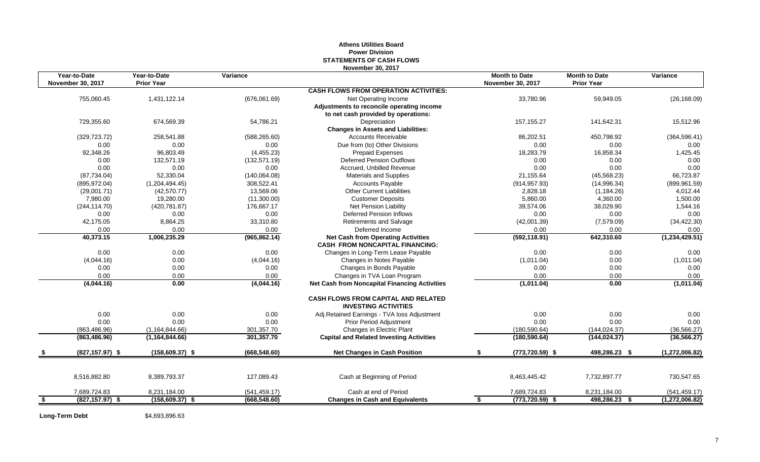# **Athens Utilities Board Power Division STATEMENTS OF CASH FLOWS November 30, 2017**

|     | Year-to-Date             | Year-to-Date      | Variance      |                                                                                     | <b>Month to Date</b>     | <b>Month to Date</b> | Variance         |
|-----|--------------------------|-------------------|---------------|-------------------------------------------------------------------------------------|--------------------------|----------------------|------------------|
|     | <b>November 30, 2017</b> | <b>Prior Year</b> |               |                                                                                     | November 30, 2017        | <b>Prior Year</b>    |                  |
|     |                          |                   |               | <b>CASH FLOWS FROM OPERATION ACTIVITIES:</b>                                        |                          |                      |                  |
|     | 755,060.45               | 1,431,122.14      | (676,061.69)  | Net Operating Income                                                                | 33,780.96                | 59,949.05            | (26, 168.09)     |
|     |                          |                   |               | Adjustments to reconcile operating income                                           |                          |                      |                  |
|     |                          |                   |               | to net cash provided by operations:                                                 |                          |                      |                  |
|     | 729,355.60               | 674,569.39        | 54,786.21     | Depreciation                                                                        | 157, 155.27              | 141,642.31           | 15,512.96        |
|     |                          |                   |               | <b>Changes in Assets and Liabilities:</b>                                           |                          |                      |                  |
|     | (329, 723.72)            | 258,541.88        | (588, 265.60) | <b>Accounts Receivable</b>                                                          | 86,202.51                | 450,798.92           | (364, 596.41)    |
|     | 0.00                     | 0.00              | 0.00          | Due from (to) Other Divisions                                                       | 0.00                     | 0.00                 | 0.00             |
|     | 92,348.26                | 96,803.49         | (4,455.23)    | <b>Prepaid Expenses</b>                                                             | 18,283.79                | 16,858.34            | 1,425.45         |
|     | 0.00                     | 132,571.19        | (132, 571.19) | <b>Deferred Pension Outflows</b>                                                    | 0.00                     | 0.00                 | 0.00             |
|     | 0.00                     | 0.00              | 0.00          | Accrued, Unbilled Revenue                                                           | 0.00                     | 0.00                 | 0.00             |
|     | (87, 734.04)             | 52,330.04         | (140,064.08)  | <b>Materials and Supplies</b>                                                       | 21,155.64                | (45, 568.23)         | 66,723.87        |
|     | (895, 972.04)            | (1,204,494.45)    | 308,522.41    | <b>Accounts Payable</b>                                                             | (914, 957.93)            | (14,996.34)          | (899, 961.59)    |
|     | (29,001.71)              | (42, 570.77)      | 13,569.06     | <b>Other Current Liabilities</b>                                                    | 2,828.18                 | (1, 184.26)          | 4,012.44         |
|     | 7,980.00                 | 19,280.00         | (11,300.00)   | <b>Customer Deposits</b>                                                            | 5,860.00                 | 4,360.00             | 1,500.00         |
|     | (244, 114.70)            | (420, 781.87)     | 176,667.17    | Net Pension Liability                                                               | 39,574.06                | 38,029.90            | 1,544.16         |
|     | 0.00                     | 0.00              | 0.00          | <b>Deferred Pension Inflows</b>                                                     | 0.00                     | 0.00                 | 0.00             |
|     | 42,175.05                | 8,864.25          | 33,310.80     | <b>Retirements and Salvage</b>                                                      | (42,001.39)              | (7,579.09)           | (34, 422.30)     |
|     | 0.00                     | 0.00              | 0.00          | Deferred Income                                                                     | 0.00                     | 0.00                 | 0.00             |
|     | 40,373.15                | 1,006,235.29      | (965, 862.14) | <b>Net Cash from Operating Activities</b><br><b>CASH FROM NONCAPITAL FINANCING:</b> | (592, 118.91)            | 642,310.60           | (1, 234, 429.51) |
|     | 0.00                     | 0.00              | 0.00          | Changes in Long-Term Lease Payable                                                  | 0.00                     | 0.00                 | 0.00             |
|     | (4,044.16)               | 0.00              | (4,044.16)    | Changes in Notes Payable                                                            | (1,011.04)               | 0.00                 | (1,011.04)       |
|     | 0.00                     | 0.00              | 0.00          | Changes in Bonds Payable                                                            | 0.00                     | 0.00                 | 0.00             |
|     | 0.00                     | 0.00              | 0.00          | Changes in TVA Loan Program                                                         | 0.00                     | 0.00                 | 0.00             |
|     | (4,044.16)               | 0.00              | (4,044.16)    | <b>Net Cash from Noncapital Financing Activities</b>                                | (1,011.04)               | 0.00                 | (1,011.04)       |
|     |                          |                   |               | <b>CASH FLOWS FROM CAPITAL AND RELATED</b><br><b>INVESTING ACTIVITIES</b>           |                          |                      |                  |
|     | 0.00                     | 0.00              | 0.00          | Adj.Retained Earnings - TVA loss Adjustment                                         | 0.00                     | 0.00                 | 0.00             |
|     | 0.00                     | 0.00              | 0.00          | Prior Period Adjustment                                                             | 0.00                     | 0.00                 | 0.00             |
|     | (863, 486.96)            | (1, 164, 844.66)  | 301,357.70    | Changes in Electric Plant                                                           | (180, 590.64)            | (144, 024.37)        | (36, 566.27)     |
|     | (863, 486.96)            | (1, 164, 844.66)  | 301,357.70    | <b>Capital and Related Investing Activities</b>                                     | (180, 590.64)            | (144, 024.37)        | (36, 566.27)     |
|     | $(827, 157.97)$ \$       | $(158,609.37)$ \$ | (668, 548.60) | <b>Net Changes in Cash Position</b>                                                 | $(773, 720.59)$ \$       | 498,286.23 \$        | (1,272,006.82)   |
|     |                          |                   |               |                                                                                     |                          |                      |                  |
|     | 8,516,882.80             | 8,389,793.37      | 127,089.43    | Cash at Beginning of Period                                                         | 8,463,445.42             | 7,732,897.77         | 730,547.65       |
|     | 7,689,724.83             | 8,231,184.00      | (541, 459.17) | Cash at end of Period                                                               | 7,689,724.83             | 8,231,184.00         | (541, 459.17)    |
| -\$ | $(827, 157.97)$ \$       | $(158,609.37)$ \$ | (668, 548.60) | <b>Changes in Cash and Equivalents</b>                                              | $(773, 720.59)$ \$<br>\$ | 498,286.23 \$        | (1,272,006.82)   |

Long-Term Debt \$4,693,896.63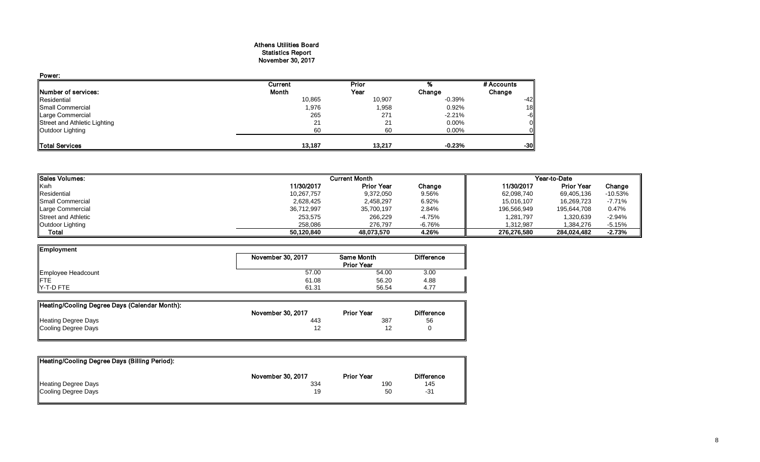### Athens Utilities Board Statistics Report November 30, 2017

| Power:                       |         |        |           |            |
|------------------------------|---------|--------|-----------|------------|
|                              | Current | Prior  |           | # Accounts |
| Number of services:          | Month   | Year   | Change    | Change     |
| Residential                  | 10,865  | 10,907 | $-0.39\%$ | $-42$      |
| Small Commercial             | 1,976   | 1,958  | 0.92%     | 18         |
| Large Commercial             | 265     | 271    | $-2.21%$  | $-6$       |
| Street and Athletic Lighting | 21      | 21     | 0.00%     |            |
| Outdoor Lighting             | 60      | 60     | $0.00\%$  |            |
| <b>Total Services</b>        | 13.187  | 13,217 | $-0.23%$  | -30        |

| <b>Sales Volumes:</b>      |            | <b>Current Month</b> |          |             | Year-to-Date      |           |  |
|----------------------------|------------|----------------------|----------|-------------|-------------------|-----------|--|
| Kwh                        | 11/30/2017 | <b>Prior Year</b>    | Change   | 11/30/2017  | <b>Prior Year</b> | Change    |  |
| Residential                | 10,267,757 | 9,372,050            | 9.56%    | 62,098,740  | 69.405.136        | $-10.53%$ |  |
| <b>I</b> Small Commercial  | 2,628,425  | 2,458,297            | 6.92%    | 15,016,107  | 16,269,723        | $-7.71%$  |  |
| Large Commercial           | 36,712,997 | 35,700,197           | 2.84%    | 196,566,949 | 195.644.708       | 0.47%     |  |
| <b>Street and Athletic</b> | 253,575    | 266,229              | $-4.75%$ | 1,281,797   | 1,320,639         | $-2.94%$  |  |
| Outdoor Lighting           | 258,086    | 276.797              | $-6.76%$ | 1.312.987   | 1.384.276         | $-5.15%$  |  |
| Total                      | 50.120.840 | 48,073,570           | 4.26%    | 276.276.580 | 284.024.482       | $-2.73%$  |  |

| Employment         |                   |                   |                   |
|--------------------|-------------------|-------------------|-------------------|
|                    | November 30, 2017 | <b>Same Month</b> | <b>Difference</b> |
|                    |                   | <b>Prior Year</b> |                   |
| Employee Headcount | 57.00             | 54.00             | 3.00              |
| <b>IFTE</b>        | 61.08             | 56.20             | 4.88              |
| Y-T-D FTE          | 61.31             | 56.54             | 4.77              |

| Heating/Cooling Degree Days (Calendar Month): |                   |                   |                   |
|-----------------------------------------------|-------------------|-------------------|-------------------|
|                                               | November 30, 2017 | <b>Prior Year</b> | <b>Difference</b> |
| <b>Heating Degree Days</b>                    | 443               | 387               | 56                |
| Cooling Degree Days                           |                   |                   |                   |

| Heating/Cooling Degree Days (Billing Period): |                   |                   |                   |
|-----------------------------------------------|-------------------|-------------------|-------------------|
|                                               | November 30, 2017 | <b>Prior Year</b> | <b>Difference</b> |
| <b>Heating Degree Days</b>                    | 334               | 190               | 145               |
| Cooling Degree Days                           | 19                | 50                | -31               |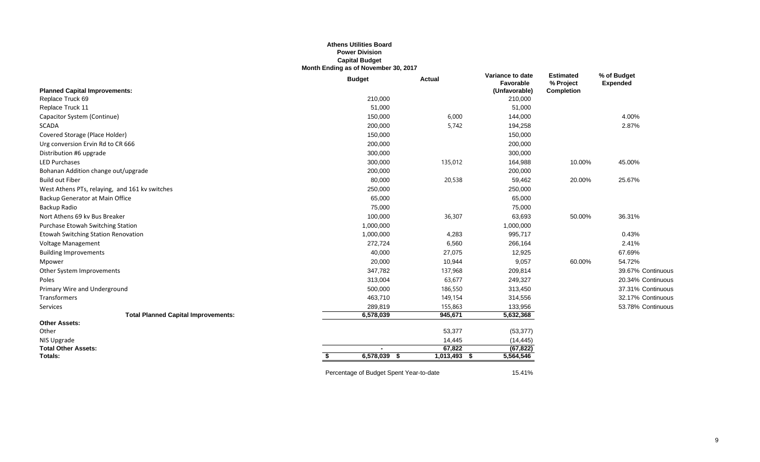# **Athens Utilities Board Power Division Capital Budget Month Ending as of November 30, 2017**

|                                                | <b>Budget</b>                           | <b>Actual</b>    | Variance to date<br>Favorable | <b>Estimated</b><br>% Project | % of Budget<br><b>Expended</b> |
|------------------------------------------------|-----------------------------------------|------------------|-------------------------------|-------------------------------|--------------------------------|
| <b>Planned Capital Improvements:</b>           |                                         |                  | (Unfavorable)                 | <b>Completion</b>             |                                |
| Replace Truck 69                               | 210,000                                 |                  | 210,000                       |                               |                                |
| Replace Truck 11                               | 51,000                                  |                  | 51,000                        |                               |                                |
| Capacitor System (Continue)                    | 150,000                                 | 6,000            | 144,000                       |                               | 4.00%                          |
| <b>SCADA</b>                                   | 200,000                                 | 5,742            | 194,258                       |                               | 2.87%                          |
| Covered Storage (Place Holder)                 | 150,000                                 |                  | 150,000                       |                               |                                |
| Urg conversion Ervin Rd to CR 666              | 200,000                                 |                  | 200,000                       |                               |                                |
| Distribution #6 upgrade                        | 300,000                                 |                  | 300,000                       |                               |                                |
| <b>LED Purchases</b>                           | 300,000                                 | 135,012          | 164,988                       | 10.00%                        | 45.00%                         |
| Bohanan Addition change out/upgrade            | 200,000                                 |                  | 200,000                       |                               |                                |
| <b>Build out Fiber</b>                         | 80,000                                  | 20,538           | 59,462                        | 20.00%                        | 25.67%                         |
| West Athens PTs, relaying, and 161 kv switches | 250,000                                 |                  | 250,000                       |                               |                                |
| Backup Generator at Main Office                | 65,000                                  |                  | 65,000                        |                               |                                |
| Backup Radio                                   | 75,000                                  |                  | 75,000                        |                               |                                |
| Nort Athens 69 kv Bus Breaker                  | 100,000                                 | 36,307           | 63,693                        | 50.00%                        | 36.31%                         |
| Purchase Etowah Switching Station              | 1,000,000                               |                  | 1,000,000                     |                               |                                |
| Etowah Switching Station Renovation            | 1,000,000                               | 4,283            | 995,717                       |                               | 0.43%                          |
| Voltage Management                             | 272,724                                 | 6,560            | 266,164                       |                               | 2.41%                          |
| <b>Building Improvements</b>                   | 40,000                                  | 27,075           | 12,925                        |                               | 67.69%                         |
| Mpower                                         | 20,000                                  | 10,944           | 9,057                         | 60.00%                        | 54.72%                         |
| Other System Improvements                      | 347,782                                 | 137,968          | 209,814                       |                               | 39.67% Continuous              |
| Poles                                          | 313,004                                 | 63,677           | 249,327                       |                               | 20.34% Continuous              |
| Primary Wire and Underground                   | 500,000                                 | 186,550          | 313,450                       |                               | 37.31% Continuous              |
| Transformers                                   | 463,710                                 | 149,154          | 314,556                       |                               | 32.17% Continuous              |
| Services                                       | 289,819                                 | 155,863          | 133,956                       |                               | 53.78% Continuous              |
| <b>Total Planned Capital Improvements:</b>     | 6,578,039                               | 945,671          | 5,632,368                     |                               |                                |
| <b>Other Assets:</b>                           |                                         |                  |                               |                               |                                |
| Other                                          |                                         | 53,377           | (53, 377)                     |                               |                                |
| NIS Upgrade                                    |                                         | 14,445           | (14, 445)                     |                               |                                |
| <b>Total Other Assets:</b>                     |                                         | 67,822           | (67, 822)                     |                               |                                |
| Totals:                                        | 6,578,039                               | 1,013,493<br>- 5 | 5,564,546                     |                               |                                |
|                                                | Percentage of Budget Spent Year-to-date |                  | 15.41%                        |                               |                                |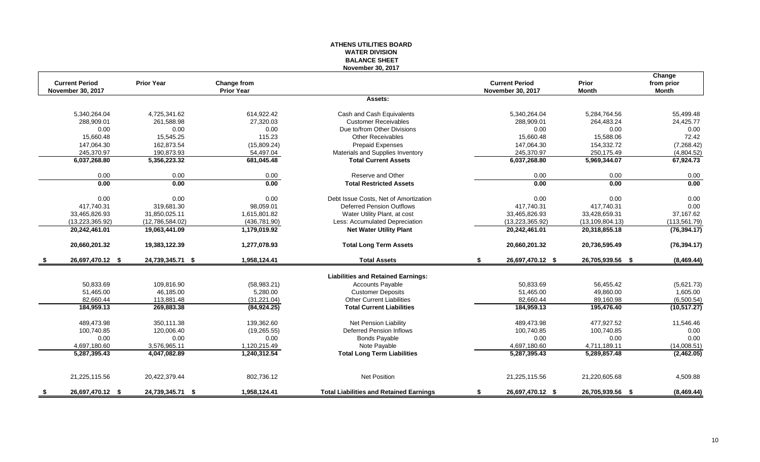# **ATHENS UTILITIES BOARD WATER DIVISION BALANCE SHEET November 30, 2017**

|      | <b>Current Period</b>    | <b>Prior Year</b> | Change from       |                                                | <b>Current Period</b>    | Prior             | Change<br>from prior |
|------|--------------------------|-------------------|-------------------|------------------------------------------------|--------------------------|-------------------|----------------------|
|      | <b>November 30, 2017</b> |                   | <b>Prior Year</b> |                                                | <b>November 30, 2017</b> | <b>Month</b>      | <b>Month</b>         |
|      |                          |                   |                   | Assets:                                        |                          |                   |                      |
|      | 5,340,264.04             | 4,725,341.62      | 614,922.42        | Cash and Cash Equivalents                      | 5,340,264.04             | 5,284,764.56      | 55,499.48            |
|      | 288,909.01               | 261,588.98        | 27,320.03         | <b>Customer Receivables</b>                    | 288,909.01               | 264,483.24        | 24,425.77            |
|      | 0.00                     | 0.00              | 0.00              | Due to/from Other Divisions                    | 0.00                     | 0.00              | 0.00                 |
|      | 15,660.48                | 15,545.25         | 115.23            | <b>Other Receivables</b>                       | 15,660.48                | 15,588.06         | 72.42                |
|      | 147,064.30               | 162,873.54        | (15,809.24)       | <b>Prepaid Expenses</b>                        | 147,064.30               | 154,332.72        | (7,268.42)           |
|      | 245,370.97               | 190,873.93        | 54,497.04         | Materials and Supplies Inventory               | 245,370.97               | 250,175.49        | (4,804.52)           |
|      | 6,037,268.80             | 5,356,223.32      | 681,045.48        | <b>Total Current Assets</b>                    | 6,037,268.80             | 5,969,344.07      | 67,924.73            |
|      | 0.00                     | 0.00              | 0.00              | Reserve and Other                              | 0.00                     | 0.00              | 0.00                 |
|      | 0.00                     | 0.00              | 0.00              | <b>Total Restricted Assets</b>                 | 0.00                     | 0.00              | 0.00                 |
|      | 0.00                     | 0.00              | 0.00              | Debt Issue Costs, Net of Amortization          | 0.00                     | 0.00              | 0.00                 |
|      | 417,740.31               | 319,681.30        | 98,059.01         | <b>Deferred Pension Outflows</b>               | 417,740.31               | 417,740.31        | 0.00                 |
|      | 33,465,826.93            | 31,850,025.11     | 1,615,801.82      | Water Utility Plant, at cost                   | 33,465,826.93            | 33,428,659.31     | 37,167.62            |
|      | (13, 223, 365.92)        | (12,786,584.02)   | (436, 781.90)     | Less: Accumulated Depreciation                 | (13, 223, 365.92)        | (13, 109, 804.13) | (113, 561.79)        |
|      | 20,242,461.01            | 19,063,441.09     | 1,179,019.92      | <b>Net Water Utility Plant</b>                 | 20,242,461.01            | 20,318,855.18     | (76, 394.17)         |
|      | 20,660,201.32            | 19,383,122.39     | 1,277,078.93      | <b>Total Long Term Assets</b>                  | 20,660,201.32            | 20,736,595.49     | (76, 394.17)         |
| - \$ | 26,697,470.12 \$         | 24,739,345.71 \$  | 1,958,124.41      | <b>Total Assets</b>                            | \$<br>26,697,470.12 \$   | 26,705,939.56 \$  | (8,469.44)           |
|      |                          |                   |                   | <b>Liabilities and Retained Earnings:</b>      |                          |                   |                      |
|      | 50,833.69                | 109,816.90        | (58,983.21)       | <b>Accounts Payable</b>                        | 50,833.69                | 56,455.42         | (5,621.73)           |
|      | 51,465.00                | 46,185.00         | 5,280.00          | <b>Customer Deposits</b>                       | 51,465.00                | 49,860.00         | 1,605.00             |
|      | 82,660.44                | 113,881.48        | (31, 221.04)      | <b>Other Current Liabilities</b>               | 82,660.44                | 89,160.98         | (6,500.54)           |
|      | 184,959.13               | 269,883.38        | (84, 924.25)      | <b>Total Current Liabilities</b>               | 184,959.13               | 195,476.40        | (10, 517.27)         |
|      | 489,473.98               | 350,111.38        | 139,362.60        | <b>Net Pension Liability</b>                   | 489,473.98               | 477,927.52        | 11,546.46            |
|      | 100,740.85               | 120.006.40        | (19, 265.55)      | Deferred Pension Inflows                       | 100,740.85               | 100.740.85        | 0.00                 |
|      | 0.00                     | 0.00              | 0.00              | <b>Bonds Payable</b>                           | 0.00                     | 0.00              | 0.00                 |
|      | 4,697,180.60             | 3,576,965.11      | 1,120,215.49      | Note Payable                                   | 4,697,180.60             | 4,711,189.11      | (14,008.51)          |
|      | 5,287,395.43             | 4,047,082.89      | 1,240,312.54      | <b>Total Long Term Liabilities</b>             | 5,287,395.43             | 5,289,857.48      | (2,462.05)           |
|      |                          |                   |                   |                                                |                          |                   |                      |
|      | 21,225,115.56            | 20,422,379.44     | 802,736.12        | Net Position                                   | 21,225,115.56            | 21,220,605.68     | 4,509.88             |
| - \$ | 26,697,470.12 \$         | 24,739,345.71 \$  | 1,958,124.41      | <b>Total Liabilities and Retained Earnings</b> | \$<br>26,697,470.12 \$   | 26,705,939.56 \$  | (8,469.44)           |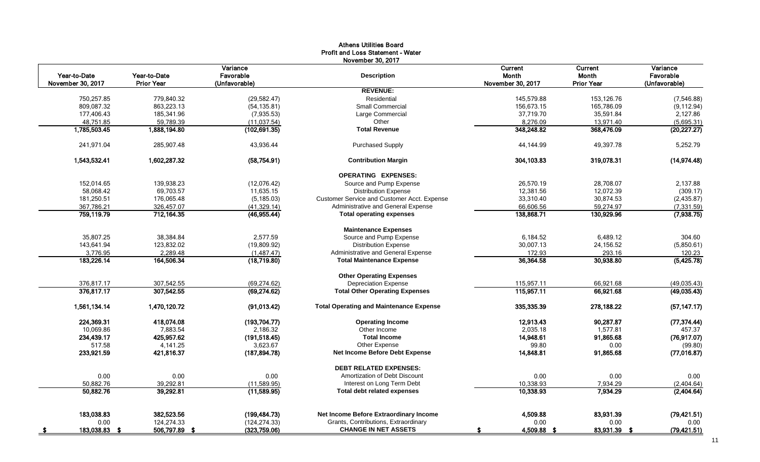|                                   |                            | Variance                   | November 30, 2017                              | <b>Current</b>             | Current                    | Variance                   |
|-----------------------------------|----------------------------|----------------------------|------------------------------------------------|----------------------------|----------------------------|----------------------------|
| Year-to-Date<br>November 30, 2017 | Year-to-Date<br>Prior Year | Favorable<br>(Unfavorable) | <b>Description</b>                             | Month<br>November 30, 2017 | Month<br><b>Prior Year</b> | Favorable<br>(Unfavorable) |
|                                   |                            |                            | <b>REVENUE:</b>                                |                            |                            |                            |
| 750,257.85                        | 779.840.32                 | (29, 582.47)               | Residential                                    | 145,579.88                 | 153.126.76                 | (7,546.88)                 |
| 809,087.32                        | 863,223.13                 | (54, 135.81)               | <b>Small Commercial</b>                        | 156,673.15                 | 165,786.09                 | (9, 112.94)                |
| 177,406.43                        | 185,341.96                 | (7,935.53)                 | Large Commercial                               | 37,719.70                  | 35,591.84                  | 2,127.86                   |
| 48,751.85                         | 59,789.39                  | (11, 037.54)               | Other                                          | 8,276.09                   | 13,971.40                  | (5,695.31)                 |
| 1,785,503.45                      | 1,888,194.80               | (102, 691.35)              | <b>Total Revenue</b>                           | 348,248.82                 | 368,476.09                 | (20, 227.27)               |
| 241,971.04                        | 285,907.48                 | 43,936.44                  | <b>Purchased Supply</b>                        | 44,144.99                  | 49,397.78                  | 5,252.79                   |
| 1,543,532.41                      | 1,602,287.32               | (58, 754.91)               | <b>Contribution Margin</b>                     | 304,103.83                 | 319,078.31                 | (14,974.48)                |
|                                   |                            |                            | <b>OPERATING EXPENSES:</b>                     |                            |                            |                            |
| 152,014.65                        | 139,938.23                 | (12,076.42)                | Source and Pump Expense                        | 26,570.19                  | 28,708.07                  | 2,137.88                   |
| 58,068.42                         | 69,703.57                  | 11,635.15                  | <b>Distribution Expense</b>                    | 12,381.56                  | 12,072.39                  | (309.17)                   |
| 181,250.51                        | 176,065.48                 | (5, 185.03)                | Customer Service and Customer Acct. Expense    | 33,310.40                  | 30,874.53                  | (2,435.87)                 |
| 367,786.21                        | 326,457.07                 | (41, 329.14)               | Administrative and General Expense             | 66,606.56                  | 59,274.97                  | (7, 331.59)                |
| 759,119.79                        | 712,164.35                 | (46,955.44)                | <b>Total operating expenses</b>                | 138,868.71                 | 130,929.96                 | (7,938.75)                 |
|                                   |                            |                            | <b>Maintenance Expenses</b>                    |                            |                            |                            |
| 35.807.25                         | 38.384.84                  | 2.577.59                   | Source and Pump Expense                        | 6.184.52                   | 6.489.12                   | 304.60                     |
| 143,641.94                        | 123,832.02                 | (19,809.92)                | <b>Distribution Expense</b>                    | 30,007.13                  | 24,156.52                  | (5,850.61)                 |
| 3,776.95                          | 2,289.48                   | (1,487.47)                 | Administrative and General Expense             | 172.93                     | 293.16                     | 120.23                     |
| 183,226.14                        | 164,506.34                 | (18,719.80)                | <b>Total Maintenance Expense</b>               | 36,364.58                  | 30.938.80                  | (5,425.78)                 |
|                                   |                            |                            | <b>Other Operating Expenses</b>                |                            |                            |                            |
| 376,817.17                        | 307,542.55                 | (69, 274.62)               | <b>Depreciation Expense</b>                    | 115,957.11                 | 66,921.68                  | (49, 035.43)               |
| 376,817.17                        | 307,542.55                 | (69, 274.62)               | <b>Total Other Operating Expenses</b>          | 115,957.11                 | 66,921.68                  | (49,035.43)                |
| 1,561,134.14                      | 1,470,120.72               | (91, 013.42)               | <b>Total Operating and Maintenance Expense</b> | 335,335.39                 | 278,188.22                 | (57, 147.17)               |
| 224,369.31                        | 418,074.08                 | (193, 704.77)              | <b>Operating Income</b>                        | 12,913.43                  | 90,287.87                  | (77, 374.44)               |
| 10,069.86                         | 7,883.54                   | 2,186.32                   | Other Income                                   | 2,035.18                   | 1,577.81                   | 457.37                     |
| 234,439.17                        | 425,957.62                 | (191, 518.45)              | <b>Total Income</b>                            | 14,948.61                  | 91,865.68                  | (76, 917.07)               |
| 517.58                            | 4,141.25                   | 3,623.67                   | Other Expense                                  | 99.80                      | 0.00                       | (99.80)                    |
| 233,921.59                        | 421,816.37                 | (187, 894.78)              | Net Income Before Debt Expense                 | 14,848.81                  | 91,865.68                  | (77,016.87)                |
|                                   |                            |                            | <b>DEBT RELATED EXPENSES:</b>                  |                            |                            |                            |
| 0.00                              | 0.00                       | 0.00                       | Amortization of Debt Discount                  | 0.00                       | 0.00                       | 0.00                       |
| 50,882.76                         | 39.292.81                  | (11,589.95)                | Interest on Long Term Debt                     | 10,338.93                  | 7.934.29                   | (2,404.64)                 |
| 50,882.76                         | 39,292.81                  | (11,589.95)                | <b>Total debt related expenses</b>             | 10,338.93                  | 7,934.29                   | (2,404.64)                 |
| 183,038.83                        | 382,523.56                 | (199, 484.73)              | Net Income Before Extraordinary Income         | 4,509.88                   | 83,931.39                  | (79, 421.51)               |
| 0.00                              | 124,274.33                 | (124, 274.33)              | Grants, Contributions, Extraordinary           | 0.00                       | 0.00                       | 0.00                       |
| 183,038.83 \$                     | 506,797.89 \$              | (323,759.06)               | <b>CHANGE IN NET ASSETS</b>                    | 4,509.88 \$                | 83,931.39<br>- \$          | (79, 421.51)               |

# Athens Utilities Board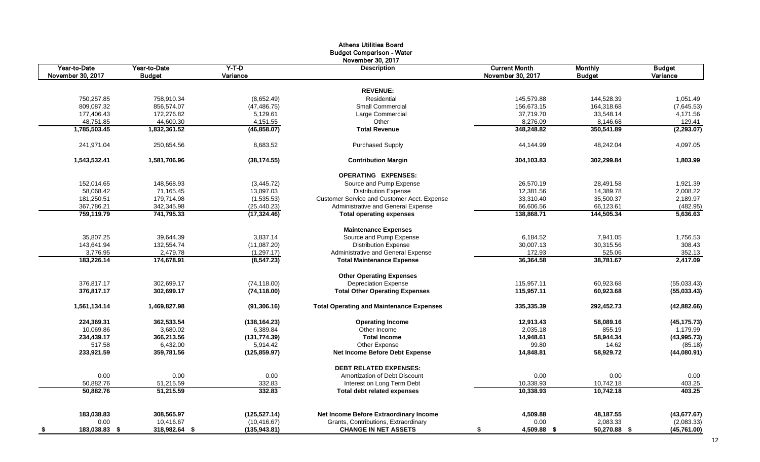|                                   |                               |                     | <b>Athens Utilities Board</b>                   |                                           |                                 |                           |
|-----------------------------------|-------------------------------|---------------------|-------------------------------------------------|-------------------------------------------|---------------------------------|---------------------------|
|                                   |                               |                     | <b>Budget Comparison - Water</b>                |                                           |                                 |                           |
|                                   |                               |                     | November 30, 2017                               |                                           |                                 |                           |
| Year-to-Date<br>November 30, 2017 | Year-to-Date<br><b>Budget</b> | $Y-T-D$<br>Variance | <b>Description</b>                              | <b>Current Month</b><br>November 30, 2017 | <b>Monthly</b><br><b>Budget</b> | <b>Budget</b><br>Variance |
|                                   |                               |                     |                                                 |                                           |                                 |                           |
|                                   |                               |                     | <b>REVENUE:</b>                                 |                                           |                                 |                           |
| 750,257.85                        | 758.910.34                    | (8,652.49)          | Residential                                     | 145.579.88                                | 144,528.39                      | 1,051.49                  |
| 809,087.32                        | 856,574.07                    | (47, 486.75)        | <b>Small Commercial</b>                         | 156,673.15                                | 164,318.68                      | (7,645.53)                |
| 177,406.43                        | 172,276.82                    | 5,129.61            | Large Commercial                                | 37,719.70                                 | 33,548.14                       | 4,171.56                  |
| 48,751.85                         | 44,600.30                     | 4,151.55            | Other                                           | 8,276.09                                  | 8,146.68                        | 129.41                    |
| 1,785,503.45                      | 1,832,361.52                  | (46, 858.07)        | <b>Total Revenue</b>                            | 348,248.82                                | 350,541.89                      | (2, 293.07)               |
| 241,971.04                        | 250,654.56                    | 8,683.52            | <b>Purchased Supply</b>                         | 44,144.99                                 | 48,242.04                       | 4,097.05                  |
| 1,543,532.41                      | 1,581,706.96                  | (38, 174.55)        | <b>Contribution Margin</b>                      | 304,103.83                                | 302,299.84                      | 1,803.99                  |
|                                   |                               |                     | <b>OPERATING EXPENSES:</b>                      |                                           |                                 |                           |
| 152,014.65                        | 148,568.93                    | (3,445.72)          | Source and Pump Expense                         | 26,570.19                                 | 28,491.58                       | 1,921.39                  |
| 58,068.42                         | 71,165.45                     | 13,097.03           | <b>Distribution Expense</b>                     | 12,381.56                                 | 14,389.78                       | 2,008.22                  |
| 181,250.51                        | 179,714.98                    | (1,535.53)          | Customer Service and Customer Acct. Expense     | 33,310.40                                 | 35,500.37                       | 2,189.97                  |
| 367,786.21                        | 342,345.98                    | (25, 440.23)        | Administrative and General Expense              | 66,606.56                                 | 66,123.61                       | (482.95)                  |
| 759,119.79                        | 741,795.33                    | (17, 324.46)        | <b>Total operating expenses</b>                 | 138,868.71                                | 144,505.34                      | 5,636.63                  |
|                                   |                               |                     | <b>Maintenance Expenses</b>                     |                                           |                                 |                           |
| 35,807.25                         | 39,644.39                     | 3,837.14            | Source and Pump Expense                         | 6,184.52                                  | 7,941.05                        | 1,756.53                  |
| 143,641.94                        | 132,554.74                    | (11,087.20)         | <b>Distribution Expense</b>                     | 30,007.13                                 | 30,315.56                       | 308.43                    |
| 3,776.95                          | 2,479.78                      | (1, 297.17)         | Administrative and General Expense              | 172.93                                    | 525.06                          | 352.13                    |
| 183,226.14                        | 174,678.91                    | (8, 547.23)         | <b>Total Maintenance Expense</b>                | 36.364.58                                 | 38,781.67                       | 2.417.09                  |
|                                   |                               |                     | <b>Other Operating Expenses</b>                 |                                           |                                 |                           |
| 376.817.17                        | 302.699.17                    | (74, 118.00)        | <b>Depreciation Expense</b>                     | 115.957.11                                | 60,923.68                       | (55,033.43)               |
| 376,817.17                        | 302,699.17                    | (74, 118.00)        | <b>Total Other Operating Expenses</b>           | 115,957.11                                | 60,923.68                       | (55,033.43)               |
| 1,561,134.14                      | 1,469,827.98                  | (91, 306.16)        | <b>Total Operating and Maintenance Expenses</b> | 335,335.39                                | 292,452.73                      | (42,882.66)               |
| 224,369.31                        | 362,533.54                    | (138, 164.23)       | <b>Operating Income</b>                         | 12,913.43                                 | 58,089.16                       | (45, 175.73)              |
| 10,069.86                         | 3,680.02                      | 6,389.84            | Other Income                                    | 2,035.18                                  | 855.19                          | 1,179.99                  |
| 234,439.17                        | 366,213.56                    | (131, 774.39)       | <b>Total Income</b>                             | 14,948.61                                 | 58,944.34                       | (43,995.73)               |
| 517.58                            | 6,432.00                      | 5,914.42            | Other Expense                                   | 99.80                                     | 14.62                           | (85.18)                   |
| 233,921.59                        | 359,781.56                    | (125, 859.97)       | Net Income Before Debt Expense                  | 14,848.81                                 | 58,929.72                       | (44,080.91)               |
|                                   |                               |                     | <b>DEBT RELATED EXPENSES:</b>                   |                                           |                                 |                           |
| 0.00                              | 0.00                          | 0.00                | Amortization of Debt Discount                   | 0.00                                      | 0.00                            | 0.00                      |
| 50,882.76                         | 51,215.59                     | 332.83              | Interest on Long Term Debt                      | 10,338.93                                 | 10,742.18                       | 403.25                    |
| 50,882.76                         | 51,215.59                     | 332.83              | <b>Total debt related expenses</b>              | 10,338.93                                 | 10,742.18                       | 403.25                    |
| 183,038.83                        | 308,565.97                    | (125, 527.14)       | Net Income Before Extraordinary Income          | 4,509.88                                  | 48,187.55                       | (43, 677.67)              |
| 0.00                              | 10.416.67                     | (10, 416.67)        | Grants, Contributions, Extraordinary            | 0.00                                      | 2,083.33                        | (2,083.33)                |
| 183,038.83 \$<br><u>\$</u>        | 318,982.64 \$                 | (135,943.81)        | <b>CHANGE IN NET ASSETS</b>                     | 4,509.88 \$<br>\$                         | 50,270.88 \$                    | (45,761.00)               |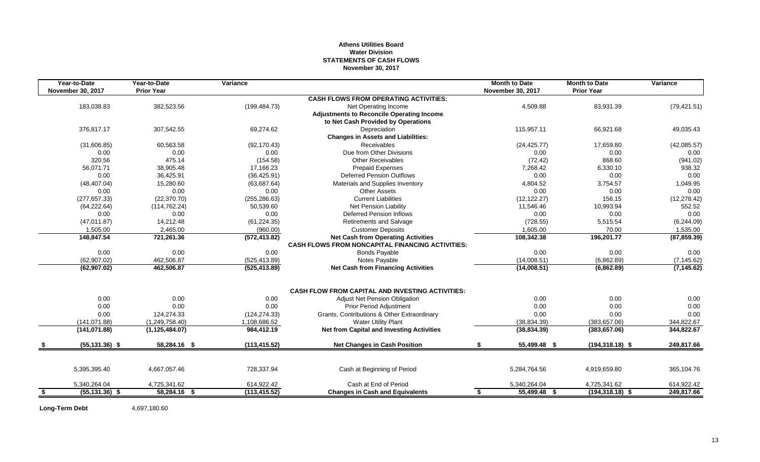# **Athens Utilities Board Water Division STATEMENTS OF CASH FLOWS November 30, 2017**

|      | Year-to-Date             | Year-to-Date      | Variance      |                                                                                                      | <b>Month to Date</b> | <b>Month to Date</b> | Variance     |
|------|--------------------------|-------------------|---------------|------------------------------------------------------------------------------------------------------|----------------------|----------------------|--------------|
|      | <b>November 30, 2017</b> | <b>Prior Year</b> |               |                                                                                                      | November 30, 2017    | <b>Prior Year</b>    |              |
|      |                          |                   |               | <b>CASH FLOWS FROM OPERATING ACTIVITIES:</b>                                                         |                      |                      |              |
|      | 183,038.83               | 382,523.56        | (199, 484.73) | Net Operating Income                                                                                 | 4,509.88             | 83,931.39            | (79, 421.51) |
|      |                          |                   |               | <b>Adjustments to Reconcile Operating Income</b>                                                     |                      |                      |              |
|      |                          |                   |               | to Net Cash Provided by Operations                                                                   |                      |                      |              |
|      | 376,817.17               | 307,542.55        | 69,274.62     | Depreciation                                                                                         | 115,957.11           | 66,921.68            | 49,035.43    |
|      |                          |                   |               | <b>Changes in Assets and Liabilities:</b>                                                            |                      |                      |              |
|      | (31,606.85)              | 60.563.58         | (92, 170.43)  | Receivables                                                                                          | (24, 425.77)         | 17.659.80            | (42,085.57)  |
|      | 0.00                     | 0.00              | 0.00          | Due from Other Divisions                                                                             | 0.00                 | 0.00                 | 0.00         |
|      | 320.56                   | 475.14            | (154.58)      | <b>Other Receivables</b>                                                                             | (72.42)              | 868.60               | (941.02)     |
|      | 56.071.71                | 38,905.48         | 17.166.23     | <b>Prepaid Expenses</b>                                                                              | 7.268.42             | 6,330.10             | 938.32       |
|      | 0.00                     | 36,425.91         | (36, 425.91)  | <b>Deferred Pension Outflows</b>                                                                     | 0.00                 | 0.00                 | 0.00         |
|      | (48, 407.04)             | 15,280.60         | (63, 687.64)  | Materials and Supplies Inventory                                                                     | 4,804.52             | 3,754.57             | 1,049.95     |
|      | 0.00                     | 0.00              | 0.00          | <b>Other Assets</b>                                                                                  | 0.00                 | 0.00                 | 0.00         |
|      | (277, 657.33)            | (22, 370.70)      | (255, 286.63) | <b>Current Liabilities</b>                                                                           | (12, 122.27)         | 156.15               | (12, 278.42) |
|      | (64, 222.64)             | (114, 762.24)     | 50.539.60     | Net Pension Liability                                                                                | 11.546.46            | 10.993.94            | 552.52       |
|      | 0.00                     | 0.00              | 0.00          | <b>Deferred Pension Inflows</b>                                                                      | 0.00                 | 0.00                 | 0.00         |
|      | (47, 011.87)             | 14,212.48         | (61, 224.35)  | <b>Retirements and Salvage</b>                                                                       | (728.55)             | 5,515.54             | (6,244.09)   |
|      | 1,505.00                 | 2,465.00          | (960.00)      | <b>Customer Deposits</b>                                                                             | 1,605.00             | 70.00                | 1,535.00     |
|      | 148,847.54               | 721,261.36        | (572, 413.82) | <b>Net Cash from Operating Activities</b><br><b>CASH FLOWS FROM NONCAPITAL FINANCING ACTIVITIES:</b> | 108,342.38           | 196,201.77           | (87, 859.39) |
|      | 0.00                     | 0.00              | 0.00          | <b>Bonds Payable</b>                                                                                 | 0.00                 | 0.00                 | 0.00         |
|      | (62, 907.02)             | 462,506.87        | (525, 413.89) | Notes Payable                                                                                        | (14,008.51)          | (6,862.89)           | (7, 145.62)  |
|      | (62, 907.02)             | 462,506.87        | (525, 413.89) | <b>Net Cash from Financing Activities</b>                                                            | (14,008.51)          | (6,862.89)           | (7, 145.62)  |
|      |                          |                   |               |                                                                                                      |                      |                      |              |
|      |                          |                   |               | <b>CASH FLOW FROM CAPITAL AND INVESTING ACTIVITIES:</b>                                              |                      |                      |              |
|      | 0.00                     | 0.00              | 0.00          | <b>Adjust Net Pension Obligation</b>                                                                 | 0.00                 | 0.00                 | 0.00         |
|      | 0.00                     | 0.00              | 0.00          | <b>Prior Period Adjustment</b>                                                                       | 0.00                 | 0.00                 | 0.00         |
|      | 0.00                     | 124,274.33        | (124, 274.33) | Grants, Contributions & Other Extraordinary                                                          | 0.00                 | 0.00                 | 0.00         |
|      | (141, 071.88)            | (1,249,758.40)    | 1,108,686.52  | <b>Water Utility Plant</b>                                                                           | (38, 834.39)         | (383, 657.06)        | 344,822.67   |
|      | (141, 071.88)            | (1, 125, 484.07)  | 984,412.19    | <b>Net from Capital and Investing Activities</b>                                                     | (38, 834.39)         | (383, 657.06)        | 344,822.67   |
|      | $(55, 131.36)$ \$        | 58,284.16 \$      | (113, 415.52) | <b>Net Changes in Cash Position</b>                                                                  | \$<br>55,499.48 \$   | $(194, 318.18)$ \$   | 249,817.66   |
|      |                          |                   |               |                                                                                                      |                      |                      |              |
|      | 5,395,395.40             | 4,667,057.46      | 728,337.94    | Cash at Beginning of Period                                                                          | 5,284,764.56         | 4,919,659.80         | 365,104.76   |
|      | 5,340,264.04             | 4,725,341.62      | 614,922.42    | Cash at End of Period                                                                                | 5,340,264.04         | 4,725,341.62         | 614,922.42   |
| - \$ | $(55, 131.36)$ \$        | $58,284.16$ \$    | (113, 415.52) | <b>Changes in Cash and Equivalents</b>                                                               | 55,499.48 \$<br>\$   | $(194, 318.18)$ \$   | 249,817.66   |

**Long-Term Debt** 4,697,180.60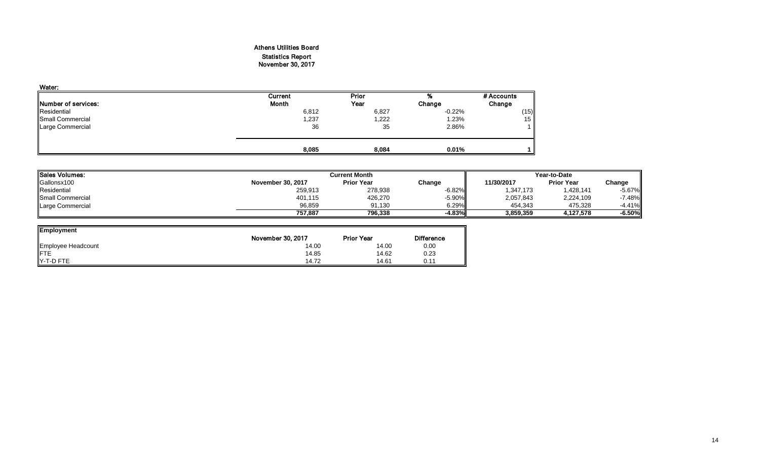# Athens Utilities Board Statistics Report November 30, 2017

| Water:                      |              |       |           |            |
|-----------------------------|--------------|-------|-----------|------------|
|                             | Current      | Prior | %         | # Accounts |
| <b>INumber of services:</b> | <b>Month</b> | Year  | Change    | Change     |
| Residential                 | 6,812        | 6,827 | $-0.22\%$ | (15)       |
| Small Commercial            | 1,237        | 1,222 | 1.23%     | 15         |
| <b>Large Commercial</b>     | 36           | 35    | 2.86%     |            |
|                             | 8,085        | 8,084 | 0.01%     |            |

| 'ISales Volumes: |                   | <b>Current Month</b> |           |            | Year-to-Date      |           |  |  |
|------------------|-------------------|----------------------|-----------|------------|-------------------|-----------|--|--|
| Gallonsx100      | November 30, 2017 | <b>Prior Year</b>    | Change    | 11/30/2017 | <b>Prior Year</b> | Change    |  |  |
| Residential      | 259,913           | 278,938              | $-6.82\%$ | 1,347,173  | ,428,141          | $-5.67%$  |  |  |
| Small Commercial | 401,115           | 426,270              | $-5.90\%$ | 2,057,843  | 2,224,109         | $-7.48%$  |  |  |
| Large Commercial | 96,859            | 91.130               | 6.29%     | 454.343    | 475.328           | $-4.41\%$ |  |  |
|                  | 757.887           | 796.338              | $-4.83%$  | 3,859,359  | 4.127.578         | $-6.50%$  |  |  |

| <b>Employment</b>  |                   |                   |                   |
|--------------------|-------------------|-------------------|-------------------|
|                    | November 30, 2017 | <b>Prior Year</b> | <b>Difference</b> |
| Employee Headcount | 14.00             | 14.00             | 0.00              |
| <b>FTE</b>         | 14.85             | 14.62             | 0.23              |
| Y-T-D FTE          | 14.72             | 14.61             | 0.11              |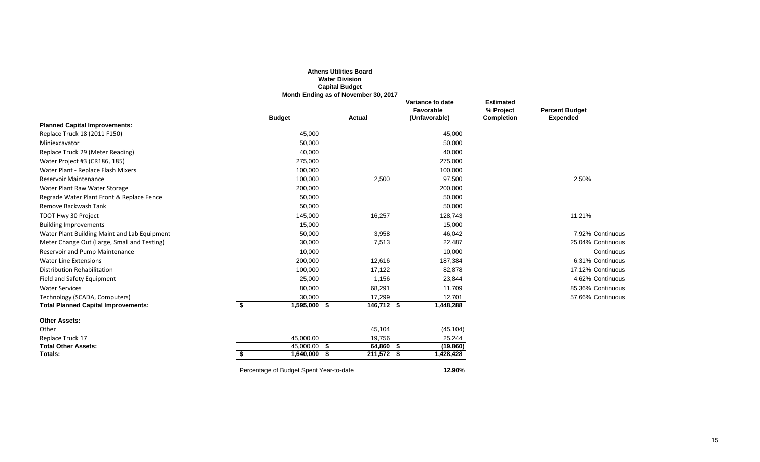|                                              |                                         | <b>Athens Utilities Board</b><br><b>Water Division</b><br><b>Capital Budget</b><br>Month Ending as of November 30, 2017 |                                                |                                                    |                                          |
|----------------------------------------------|-----------------------------------------|-------------------------------------------------------------------------------------------------------------------------|------------------------------------------------|----------------------------------------------------|------------------------------------------|
|                                              | <b>Budget</b>                           | Actual                                                                                                                  | Variance to date<br>Favorable<br>(Unfavorable) | <b>Estimated</b><br>% Project<br><b>Completion</b> | <b>Percent Budget</b><br><b>Expended</b> |
| <b>Planned Capital Improvements:</b>         |                                         |                                                                                                                         |                                                |                                                    |                                          |
| Replace Truck 18 (2011 F150)                 | 45,000                                  |                                                                                                                         | 45,000                                         |                                                    |                                          |
| Miniexcavator                                | 50,000                                  |                                                                                                                         | 50,000                                         |                                                    |                                          |
| Replace Truck 29 (Meter Reading)             | 40,000                                  |                                                                                                                         | 40,000                                         |                                                    |                                          |
| Water Project #3 (CR186, 185)                | 275,000                                 |                                                                                                                         | 275,000                                        |                                                    |                                          |
| Water Plant - Replace Flash Mixers           | 100,000                                 |                                                                                                                         | 100,000                                        |                                                    |                                          |
| <b>Reservoir Maintenance</b>                 | 100,000                                 | 2,500                                                                                                                   | 97,500                                         |                                                    | 2.50%                                    |
| Water Plant Raw Water Storage                | 200,000                                 |                                                                                                                         | 200,000                                        |                                                    |                                          |
| Regrade Water Plant Front & Replace Fence    | 50,000                                  |                                                                                                                         | 50,000                                         |                                                    |                                          |
| Remove Backwash Tank                         | 50,000                                  |                                                                                                                         | 50,000                                         |                                                    |                                          |
| TDOT Hwy 30 Project                          | 145,000                                 | 16,257                                                                                                                  | 128,743                                        |                                                    | 11.21%                                   |
| <b>Building Improvements</b>                 | 15,000                                  |                                                                                                                         | 15,000                                         |                                                    |                                          |
| Water Plant Building Maint and Lab Equipment | 50,000                                  | 3,958                                                                                                                   | 46,042                                         |                                                    | 7.92% Continuous                         |
| Meter Change Out (Large, Small and Testing)  | 30,000                                  | 7,513                                                                                                                   | 22,487                                         |                                                    | 25.04% Continuous                        |
| Reservoir and Pump Maintenance               | 10,000                                  |                                                                                                                         | 10,000                                         |                                                    | Continuous                               |
| <b>Water Line Extensions</b>                 | 200,000                                 | 12,616                                                                                                                  | 187,384                                        |                                                    | 6.31% Continuous                         |
| <b>Distribution Rehabilitation</b>           | 100,000                                 | 17,122                                                                                                                  | 82,878                                         |                                                    | 17.12% Continuous                        |
| Field and Safety Equipment                   | 25,000                                  | 1,156                                                                                                                   | 23,844                                         |                                                    | 4.62% Continuous                         |
| <b>Water Services</b>                        | 80,000                                  | 68,291                                                                                                                  | 11,709                                         |                                                    | 85.36% Continuous                        |
| Technology (SCADA, Computers)                | 30,000                                  | 17,299                                                                                                                  | 12,701                                         |                                                    | 57.66% Continuous                        |
| <b>Total Planned Capital Improvements:</b>   | \$<br>1,595,000 \$                      | 146,712 \$                                                                                                              | 1,448,288                                      |                                                    |                                          |
| <b>Other Assets:</b>                         |                                         |                                                                                                                         |                                                |                                                    |                                          |
| Other                                        |                                         | 45,104                                                                                                                  | (45, 104)                                      |                                                    |                                          |
| Replace Truck 17                             | 45,000.00                               | 19,756                                                                                                                  | 25,244                                         |                                                    |                                          |
| <b>Total Other Assets:</b>                   | $\overline{45,000.00}$ \$               | 64,860 \$                                                                                                               | (19, 860)                                      |                                                    |                                          |
| Totals:                                      | $1,640,000$ \$                          | $211,572$ \$                                                                                                            | 1,428,428                                      |                                                    |                                          |
|                                              | Percentage of Budget Spent Year-to-date |                                                                                                                         | 12.90%                                         |                                                    |                                          |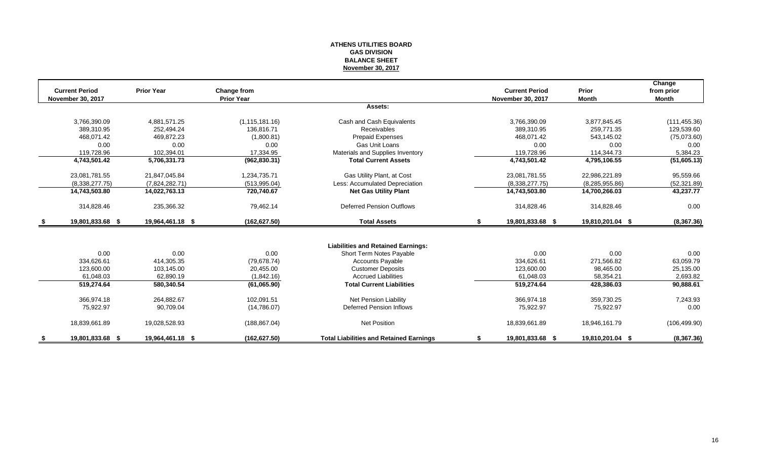### **ATHENS UTILITIES BOARD GAS DIVISION BALANCE SHEET November 30, 2017**

| <b>Current Period</b>    | <b>Prior Year</b> |                                  |                                                | <b>Current Period</b>    | Prior            | Change              |
|--------------------------|-------------------|----------------------------------|------------------------------------------------|--------------------------|------------------|---------------------|
| <b>November 30, 2017</b> |                   | Change from<br><b>Prior Year</b> |                                                | <b>November 30, 2017</b> | <b>Month</b>     | from prior<br>Month |
|                          |                   |                                  | Assets:                                        |                          |                  |                     |
| 3,766,390.09             | 4,881,571.25      | (1, 115, 181.16)                 | Cash and Cash Equivalents                      | 3,766,390.09             | 3,877,845.45     | (111, 455.36)       |
| 389.310.95               | 252.494.24        | 136.816.71                       | <b>Receivables</b>                             | 389,310.95               | 259.771.35       | 129,539.60          |
| 468.071.42               | 469,872.23        | (1,800.81)                       | Prepaid Expenses                               | 468.071.42               | 543.145.02       | (75,073.60)         |
| 0.00                     | 0.00              | 0.00                             | Gas Unit Loans                                 | 0.00                     | 0.00             | 0.00                |
| 119,728.96               | 102,394.01        | 17,334.95                        | Materials and Supplies Inventory               | 119.728.96               | 114,344.73       | 5,384.23            |
| 4,743,501.42             | 5,706,331.73      | (962, 830.31)                    | <b>Total Current Assets</b>                    | 4,743,501.42             | 4,795,106.55     | (51,605.13)         |
| 23,081,781.55            | 21,847,045.84     | 1,234,735.71                     | Gas Utility Plant, at Cost                     | 23,081,781.55            | 22,986,221.89    | 95,559.66           |
| (8,338,277.75)           | (7,824,282.71)    | (513, 995.04)                    | Less: Accumulated Depreciation                 | (8,338,277.75)           | (8, 285, 955.86) | (52, 321.89)        |
| 14,743,503.80            | 14,022,763.13     | 720,740.67                       | <b>Net Gas Utility Plant</b>                   | 14,743,503.80            | 14,700,266.03    | 43,237.77           |
| 314,828.46               | 235,366.32        | 79,462.14                        | <b>Deferred Pension Outflows</b>               | 314,828.46               | 314,828.46       | 0.00                |
| 19,801,833.68 \$         | 19,964,461.18 \$  | (162, 627.50)                    | <b>Total Assets</b>                            | \$<br>19,801,833.68 \$   | 19,810,201.04 \$ | (8,367.36)          |
|                          |                   |                                  |                                                |                          |                  |                     |
|                          |                   |                                  | <b>Liabilities and Retained Earnings:</b>      |                          |                  |                     |
| 0.00                     | 0.00              | 0.00                             | Short Term Notes Payable                       | 0.00                     | 0.00             | 0.00                |
| 334.626.61               | 414.305.35        | (79, 678.74)                     | <b>Accounts Payable</b>                        | 334.626.61               | 271,566.82       | 63,059.79           |
| 123,600.00               | 103,145.00        | 20,455.00                        | <b>Customer Deposits</b>                       | 123,600.00               | 98,465.00        | 25,135.00           |
| 61.048.03                | 62,890.19         | (1,842.16)                       | <b>Accrued Liabilities</b>                     | 61,048.03                | 58.354.21        | 2,693.82            |
| 519,274.64               | 580,340.54        | (61,065.90)                      | <b>Total Current Liabilities</b>               | 519,274.64               | 428,386.03       | 90,888.61           |
| 366,974.18               | 264.882.67        | 102.091.51                       | Net Pension Liability                          | 366,974.18               | 359.730.25       | 7,243.93            |
| 75,922.97                | 90,709.04         | (14,786.07)                      | Deferred Pension Inflows                       | 75,922.97                | 75,922.97        | 0.00                |
| 18,839,661.89            | 19,028,528.93     | (188, 867.04)                    | Net Position                                   | 18,839,661.89            | 18,946,161.79    | (106, 499.90)       |
| 19,801,833.68 \$         | 19,964,461.18 \$  | (162, 627.50)                    | <b>Total Liabilities and Retained Earnings</b> | 19,801,833.68 \$         | 19,810,201.04 \$ | (8,367.36)          |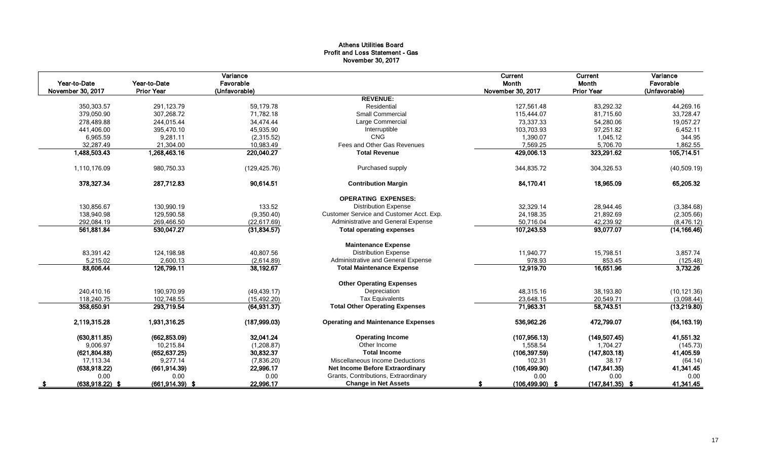# Athens Utilities Board Profit and Loss Statement - Gas November 30, 2017

|                    |                    | Variance      |                                           | Current            | Current            | Variance      |
|--------------------|--------------------|---------------|-------------------------------------------|--------------------|--------------------|---------------|
| Year-to-Date       | Year-to-Date       | Favorable     |                                           | Month              | Month              | Favorable     |
| November 30, 2017  | <b>Prior Year</b>  | (Unfavorable) | <b>REVENUE:</b>                           | November 30, 2017  | <b>Prior Year</b>  | (Unfavorable) |
| 350,303.57         | 291.123.79         | 59.179.78     | Residential                               | 127.561.48         | 83,292.32          | 44,269.16     |
| 379,050.90         | 307,268.72         | 71,782.18     | <b>Small Commercial</b>                   | 115,444.07         | 81,715.60          | 33,728.47     |
| 278,489.88         | 244,015.44         | 34,474.44     | Large Commercial                          | 73,337.33          | 54,280.06          | 19,057.27     |
| 441,406.00         | 395,470.10         | 45,935.90     | Interruptible                             | 103,703.93         | 97,251.82          | 6,452.11      |
| 6,965.59           | 9,281.11           | (2,315.52)    | <b>CNG</b>                                | 1.390.07           | 1,045.12           | 344.95        |
| 32,287.49          | 21,304.00          | 10,983.49     | Fees and Other Gas Revenues               | 7,569.25           | 5,706.70           | 1,862.55      |
| 1,488,503.43       | 1,268,463.16       | 220,040.27    | <b>Total Revenue</b>                      | 429,006.13         | 323,291.62         | 105,714.51    |
|                    |                    |               |                                           |                    |                    |               |
| 1,110,176.09       | 980,750.33         | (129, 425.76) | Purchased supply                          | 344,835.72         | 304,326.53         | (40, 509.19)  |
| 378,327.34         | 287.712.83         | 90.614.51     | <b>Contribution Margin</b>                | 84,170.41          | 18,965.09          | 65,205.32     |
|                    |                    |               | <b>OPERATING EXPENSES:</b>                |                    |                    |               |
| 130,856.67         | 130,990.19         | 133.52        | <b>Distribution Expense</b>               | 32,329.14          | 28,944.46          | (3,384.68)    |
| 138.940.98         | 129,590.58         | (9,350.40)    | Customer Service and Customer Acct. Exp.  | 24,198.35          | 21,892.69          | (2,305.66)    |
| 292,084.19         | 269,466.50         | (22, 617.69)  | Administrative and General Expense        | 50,716.04          | 42,239.92          | (8, 476.12)   |
| 561,881.84         | 530,047.27         | (31, 834.57)  | <b>Total operating expenses</b>           | 107,243.53         | 93,077.07          | (14, 166.46)  |
|                    |                    |               | <b>Maintenance Expense</b>                |                    |                    |               |
| 83.391.42          | 124.198.98         | 40.807.56     | <b>Distribution Expense</b>               | 11.940.77          | 15,798.51          | 3,857.74      |
| 5,215.02           | 2,600.13           | (2,614.89)    | Administrative and General Expense        | 978.93             | 853.45             | (125.48)      |
| 88,606.44          | 126,799.11         | 38,192.67     | <b>Total Maintenance Expense</b>          | 12,919.70          | 16,651.96          | 3,732.26      |
|                    |                    |               | <b>Other Operating Expenses</b>           |                    |                    |               |
| 240,410.16         | 190,970.99         | (49, 439.17)  | Depreciation                              | 48,315.16          | 38,193.80          | (10, 121.36)  |
| 118,240.75         | 102,748.55         | (15, 492.20)  | <b>Tax Equivalents</b>                    | 23,648.15          | 20,549.71          | (3,098.44)    |
| 358,650.91         | 293,719.54         | (64, 931.37)  | <b>Total Other Operating Expenses</b>     | 71,963.31          | 58,743.51          | (13,219.80)   |
| 2.119,315.28       | 1,931,316.25       | (187, 999.03) | <b>Operating and Maintenance Expenses</b> | 536,962.26         | 472,799.07         | (64, 163.19)  |
| (630, 811.85)      | (662, 853.09)      | 32,041.24     | <b>Operating Income</b>                   | (107, 956.13)      | (149, 507.45)      | 41,551.32     |
| 9,006.97           | 10,215.84          | (1,208.87)    | Other Income                              | 1,558.54           | 1,704.27           | (145.73)      |
| (621, 804.88)      | (652, 637.25)      | 30,832.37     | <b>Total Income</b>                       | (106, 397.59)      | (147, 803.18)      | 41,405.59     |
| 17,113.34          | 9,277.14           | (7,836.20)    | Miscellaneous Income Deductions           | 102.31             | 38.17              | (64.14)       |
| (638, 918.22)      | (661, 914.39)      | 22,996.17     | Net Income Before Extraordinary           | (106, 499.90)      | (147, 841.35)      | 41,341.45     |
| 0.00               | 0.00               | 0.00          | Grants, Contributions, Extraordinary      | 0.00               | 0.00               | 0.00          |
| $(638, 918.22)$ \$ | $(661, 914.39)$ \$ | 22,996.17     | <b>Change in Net Assets</b>               | $(106, 499.90)$ \$ | $(147, 841.35)$ \$ | 41,341.45     |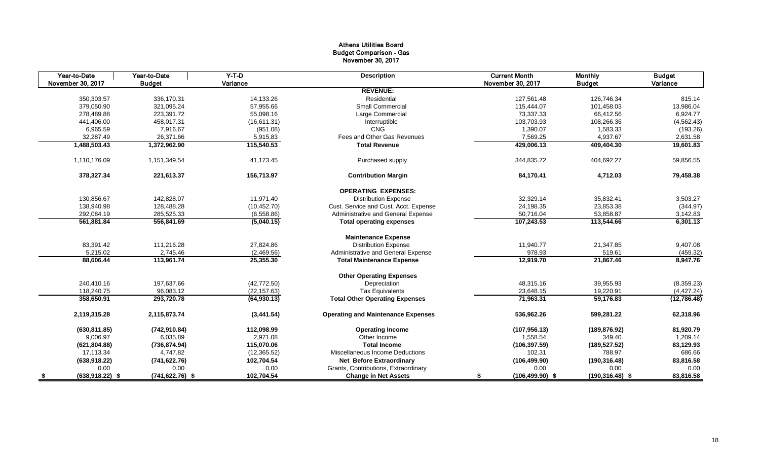# Athens Utilities Board Budget Comparison - Gas November 30, 2017

| Year-to-Date               | Year-to-Date       | $Y-T-D$      | <b>Description</b>                        | <b>Current Month</b>     | <b>Monthly</b>     | <b>Budget</b> |
|----------------------------|--------------------|--------------|-------------------------------------------|--------------------------|--------------------|---------------|
| November 30, 2017          | <b>Budget</b>      | Variance     |                                           | November 30, 2017        | <b>Budget</b>      | Variance      |
|                            |                    |              | <b>REVENUE:</b>                           |                          |                    |               |
| 350,303.57                 | 336,170.31         | 14,133.26    | Residential                               | 127,561.48               | 126,746.34         | 815.14        |
| 379,050.90                 | 321,095.24         | 57,955.66    | <b>Small Commercial</b>                   | 115,444.07               | 101,458.03         | 13,986.04     |
| 278,489.88                 | 223,391.72         | 55,098.16    | Large Commercial                          | 73,337.33                | 66,412.56          | 6,924.77      |
| 441,406.00                 | 458,017.31         | (16,611.31)  | Interruptible                             | 103,703.93               | 108,266.36         | (4, 562.43)   |
| 6,965.59                   | 7,916.67           | (951.08)     | <b>CNG</b>                                | 1,390.07                 | 1,583.33           | (193.26)      |
| 32,287.49                  | 26,371.66          | 5,915.83     | Fees and Other Gas Revenues               | 7,569.25                 | 4,937.67           | 2,631.58      |
| 1,488,503.43               | 1,372,962.90       | 115,540.53   | <b>Total Revenue</b>                      | 429,006.13               | 409,404.30         | 19,601.83     |
| 1,110,176.09               | 1,151,349.54       | 41,173.45    | Purchased supply                          | 344,835.72               | 404,692.27         | 59,856.55     |
| 378,327.34                 | 221,613.37         | 156,713.97   | <b>Contribution Margin</b>                | 84,170.41                | 4,712.03           | 79,458.38     |
|                            |                    |              | <b>OPERATING EXPENSES:</b>                |                          |                    |               |
| 130,856.67                 | 142,828.07         | 11,971.40    | <b>Distribution Expense</b>               | 32,329.14                | 35,832.41          | 3,503.27      |
| 138,940.98                 | 128,488.28         | (10, 452.70) | Cust. Service and Cust. Acct. Expense     | 24,198.35                | 23,853.38          | (344.97)      |
| 292,084.19                 | 285,525.33         | (6,558.86)   | Administrative and General Expense        | 50,716.04                | 53,858.87          | 3,142.83      |
| 561,881.84                 | 556,841.69         | (5,040.15)   | <b>Total operating expenses</b>           | 107,243.53               | 113,544.66         | 6,301.13      |
|                            |                    |              | <b>Maintenance Expense</b>                |                          |                    |               |
| 83,391.42                  | 111,216.28         | 27,824.86    | <b>Distribution Expense</b>               | 11,940.77                | 21,347.85          | 9,407.08      |
| 5,215.02                   | 2,745.46           | (2,469.56)   | Administrative and General Expense        | 978.93                   | 519.61             | (459.32)      |
| 88,606.44                  | 113,961.74         | 25,355.30    | <b>Total Maintenance Expense</b>          | 12,919.70                | 21,867.46          | 8,947.76      |
|                            |                    |              | <b>Other Operating Expenses</b>           |                          |                    |               |
| 240.410.16                 | 197,637.66         | (42, 772.50) | Depreciation                              | 48.315.16                | 39,955.93          | (8,359.23)    |
| 118,240.75                 | 96,083.12          | (22, 157.63) | <b>Tax Equivalents</b>                    | 23,648.15                | 19,220.91          | (4, 427.24)   |
| 358,650.91                 | 293,720.78         | (64, 930.13) | <b>Total Other Operating Expenses</b>     | 71,963.31                | 59,176.83          | (12,786.48)   |
| 2,119,315.28               | 2,115,873.74       | (3,441.54)   | <b>Operating and Maintenance Expenses</b> | 536,962.26               | 599,281.22         | 62,318.96     |
| (630, 811.85)              | (742, 910.84)      | 112,098.99   | <b>Operating Income</b>                   | (107, 956.13)            | (189, 876.92)      | 81,920.79     |
| 9,006.97                   | 6,035.89           | 2,971.08     | Other Income                              | 1,558.54                 | 349.40             | 1,209.14      |
| (621, 804.88)              | (736, 874.94)      | 115,070.06   | <b>Total Income</b>                       | (106, 397.59)            | (189, 527.52)      | 83,129.93     |
| 17,113.34                  | 4,747.82           | (12, 365.52) | Miscellaneous Income Deductions           | 102.31                   | 788.97             | 686.66        |
| (638, 918.22)              | (741, 622.76)      | 102,704.54   | <b>Net Before Extraordinary</b>           | (106, 499.90)            | (190, 316.48)      | 83,816.58     |
| 0.00                       | 0.00               | 0.00         | Grants, Contributions, Extraordinary      | 0.00                     | 0.00               | 0.00          |
| $(638, 918.22)$ \$<br>- \$ | $(741, 622.76)$ \$ | 102,704.54   | <b>Change in Net Assets</b>               | $(106, 499.90)$ \$<br>\$ | $(190, 316.48)$ \$ | 83,816.58     |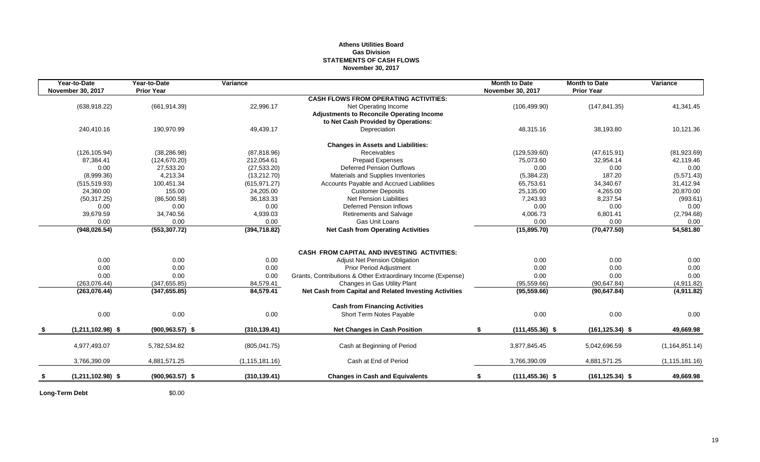# **Athens Utilities Board Gas Division STATEMENTS OF CASH FLOWS November 30, 2017**

| Year-to-Date             | Year-to-Date       | Variance         |                                                              | <b>Month to Date</b>     | <b>Month to Date</b> | Variance         |
|--------------------------|--------------------|------------------|--------------------------------------------------------------|--------------------------|----------------------|------------------|
| <b>November 30, 2017</b> | <b>Prior Year</b>  |                  | <b>CASH FLOWS FROM OPERATING ACTIVITIES:</b>                 | <b>November 30, 2017</b> | <b>Prior Year</b>    |                  |
| (638, 918.22)            | (661, 914.39)      | 22,996.17        | Net Operating Income                                         | (106, 499.90)            | (147, 841.35)        | 41,341.45        |
|                          |                    |                  | <b>Adjustments to Reconcile Operating Income</b>             |                          |                      |                  |
|                          |                    |                  | to Net Cash Provided by Operations:                          |                          |                      |                  |
| 240,410.16               | 190,970.99         | 49,439.17        | Depreciation                                                 | 48,315.16                | 38,193.80            | 10,121.36        |
|                          |                    |                  | <b>Changes in Assets and Liabilities:</b>                    |                          |                      |                  |
| (126, 105.94)            | (38, 286.98)       | (87, 818.96)     | <b>Receivables</b>                                           | (129, 539.60)            | (47, 615.91)         | (81,923.69)      |
| 87,384.41                | (124, 670.20)      | 212,054.61       | <b>Prepaid Expenses</b>                                      | 75,073.60                | 32,954.14            | 42,119.46        |
| 0.00                     | 27,533.20          | (27, 533.20)     | <b>Deferred Pension Outflows</b>                             | 0.00                     | 0.00                 | 0.00             |
| (8,999.36)               | 4,213.34           | (13, 212.70)     | Materials and Supplies Inventories                           | (5,384.23)               | 187.20               | (5,571.43)       |
| (515, 519.93)            | 100,451.34         | (615, 971.27)    | Accounts Payable and Accrued Liabilities                     | 65,753.61                | 34,340.67            | 31,412.94        |
| 24.360.00                | 155.00             | 24.205.00        | <b>Customer Deposits</b>                                     | 25,135.00                | 4.265.00             | 20,870.00        |
| (50, 317.25)             | (86,500.58)        | 36,183.33        | Net Pension Liabilities                                      | 7,243.93                 | 8,237.54             | (993.61)         |
| 0.00                     | 0.00               | 0.00             | <b>Deferred Pension Inflows</b>                              | 0.00                     | 0.00                 | 0.00             |
| 39,679.59                | 34,740.56          | 4,939.03         | <b>Retirements and Salvage</b>                               | 4,006.73                 | 6,801.41             | (2,794.68)       |
| 0.00                     | 0.00               | 0.00             | Gas Unit Loans                                               | 0.00                     | 0.00                 | 0.00             |
| (948, 026.54)            | (553, 307.72)      | (394, 718.82)    | <b>Net Cash from Operating Activities</b>                    | (15,895.70)              | (70, 477.50)         | 54,581.80        |
|                          |                    |                  |                                                              |                          |                      |                  |
|                          |                    |                  | <b>CASH FROM CAPITAL AND INVESTING ACTIVITIES:</b>           |                          |                      |                  |
| 0.00                     | 0.00               | 0.00             | Adjust Net Pension Obligation                                | 0.00                     | 0.00                 | 0.00             |
| 0.00                     | 0.00               | 0.00             | <b>Prior Period Adjustment</b>                               | 0.00                     | 0.00                 | 0.00             |
| 0.00                     | 0.00               | 0.00             | Grants, Contributions & Other Extraordinary Income (Expense) | 0.00                     | 0.00                 | 0.00             |
| (263, 076.44)            | (347, 655.85)      | 84,579.41        | Changes in Gas Utility Plant                                 | (95, 559.66)             | (90, 647.84)         | (4,911.82)       |
| (263,076.44)             | (347, 655.85)      | 84,579.41        | Net Cash from Capital and Related Investing Activities       | (95, 559.66)             | (90, 647.84)         | (4,911.82)       |
|                          |                    |                  | <b>Cash from Financing Activities</b>                        |                          |                      |                  |
| 0.00                     | 0.00               | 0.00             | Short Term Notes Payable                                     | 0.00                     | 0.00                 | 0.00             |
| $(1,211,102.98)$ \$      | $(900, 963.57)$ \$ | (310, 139.41)    | <b>Net Changes in Cash Position</b>                          | \$<br>$(111, 455.36)$ \$ | $(161, 125.34)$ \$   | 49,669.98        |
| 4,977,493.07             | 5,782,534.82       | (805, 041.75)    | Cash at Beginning of Period                                  | 3,877,845.45             | 5,042,696.59         | (1, 164, 851.14) |
| 3,766,390.09             |                    |                  | Cash at End of Period                                        | 3,766,390.09             |                      |                  |
|                          | 4,881,571.25       | (1, 115, 181.16) |                                                              |                          | 4,881,571.25         | (1, 115, 181.16) |
| $(1,211,102.98)$ \$      | $(900, 963.57)$ \$ | (310, 139.41)    | <b>Changes in Cash and Equivalents</b>                       | $(111, 455.36)$ \$<br>\$ | $(161, 125.34)$ \$   | 49,669.98        |

**Long-Term Debt** \$0.00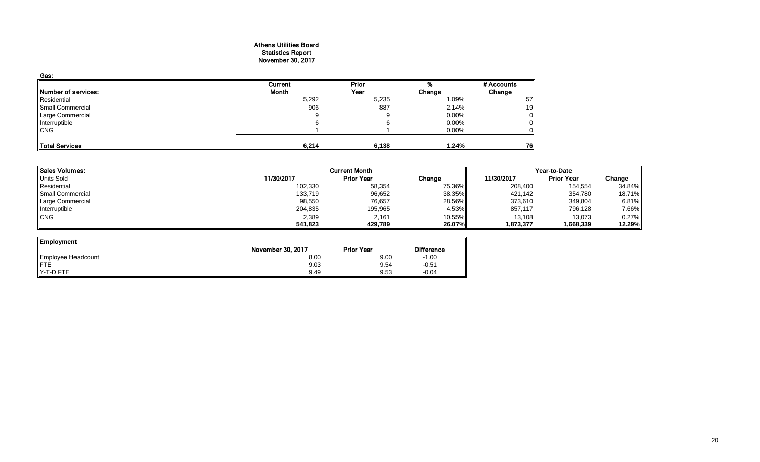### Athens Utilities Board Statistics Report November 30, 2017

| Gas:                |         |              |          |            |
|---------------------|---------|--------------|----------|------------|
|                     | Current | <b>Prior</b> |          | # Accounts |
| Number of services: | Month   | Year         | Change   | Change     |
| Residential         | 5,292   | 5,235        | 1.09%    | 57         |
| Small Commercial    | 906     | 887          | 2.14%    | 19         |
| Large Commercial    | 9       |              | $0.00\%$ | 0          |
| Interruptible       |         |              | 0.00%    |            |
| <b>CNG</b>          |         |              | 0.00%    |            |
| Total Services      | 6,214   | 6,138        | 1.24%    | 76         |

| <b>Sales Volumes:</b> |            | <b>Current Month</b> |        |            | Year-to-Date      |        |  |  |
|-----------------------|------------|----------------------|--------|------------|-------------------|--------|--|--|
| <b>Units Sold</b>     | 11/30/2017 | <b>Prior Year</b>    | Change | 11/30/2017 | <b>Prior Year</b> | Change |  |  |
| Residential           | 102,330    | 58,354               | 75.36% | 208,400    | 154,554           | 34.84% |  |  |
| Small Commercial      | 133,719    | 96,652               | 38.35% | 421,142    | 354,780           | 18.71% |  |  |
| Large Commercial      | 98,550     | 76,657               | 28.56% | 373,610    | 349,804           | 6.81%  |  |  |
| Interruptible         | 204,835    | 195,965              | 4.53%  | 857,117    | 796,128           | 7.66%  |  |  |
| <b>CNG</b>            | 2,389      | 2.161                | 10.55% | 13.108     | 13,073            | 0.27%  |  |  |
|                       | 541.823    | 429.789              | 26.07% | 1.873.377  | 1,668,339         | 12.29% |  |  |
|                       |            |                      |        |            |                   |        |  |  |

 $\overline{\phantom{0}}$ 

| Employment         |                   |                   |                   |
|--------------------|-------------------|-------------------|-------------------|
|                    | November 30, 2017 | <b>Prior Year</b> | <b>Difference</b> |
| Employee Headcount | 8.00              | 9.00              | $-1.00$           |
| <b>IFTE</b>        | 9.03              | 9.54              | $-0.51$           |
| Y-T-D FTE          | 9.49              | 9.53              | $-0.04$           |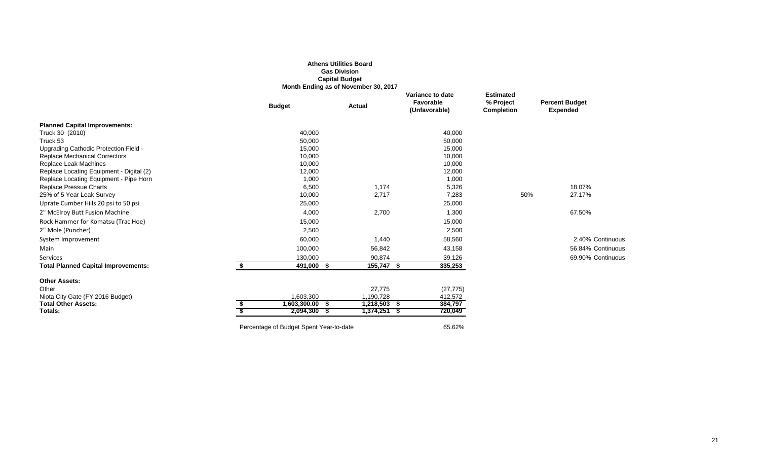|                                                     |                                         | <b>Athens Utilities Board</b>        |                                                |                                                    |                                          |
|-----------------------------------------------------|-----------------------------------------|--------------------------------------|------------------------------------------------|----------------------------------------------------|------------------------------------------|
|                                                     |                                         | <b>Gas Division</b>                  |                                                |                                                    |                                          |
|                                                     |                                         | <b>Capital Budget</b>                |                                                |                                                    |                                          |
|                                                     |                                         | Month Ending as of November 30, 2017 |                                                |                                                    |                                          |
|                                                     | <b>Budget</b>                           | <b>Actual</b>                        | Variance to date<br>Favorable<br>(Unfavorable) | <b>Estimated</b><br>% Project<br><b>Completion</b> | <b>Percent Budget</b><br><b>Expended</b> |
| <b>Planned Capital Improvements:</b>                |                                         |                                      |                                                |                                                    |                                          |
| Truck 30 (2010)                                     | 40,000                                  |                                      | 40,000                                         |                                                    |                                          |
| Truck 53                                            | 50,000                                  |                                      | 50,000                                         |                                                    |                                          |
| Upgrading Cathodic Protection Field -               | 15,000                                  |                                      | 15,000                                         |                                                    |                                          |
| <b>Replace Mechanical Correctors</b>                | 10,000                                  |                                      | 10,000                                         |                                                    |                                          |
| Replace Leak Machines                               | 10,000                                  |                                      | 10,000                                         |                                                    |                                          |
| Replace Locating Equipment - Digital (2)            | 12,000                                  |                                      | 12,000                                         |                                                    |                                          |
| Replace Locating Equipment - Pipe Horn              | 1,000<br>6,500                          | 1,174                                | 1,000                                          |                                                    | 18.07%                                   |
| Replace Pressue Charts<br>25% of 5 Year Leak Survey | 10,000                                  | 2,717                                | 5,326<br>7,283                                 | 50%                                                | 27.17%                                   |
| Uprate Cumber Hills 20 psi to 50 psi                | 25,000                                  |                                      | 25,000                                         |                                                    |                                          |
| 2" McElroy Butt Fusion Machine                      | 4,000                                   | 2,700                                | 1,300                                          |                                                    | 67.50%                                   |
| Rock Hammer for Komatsu (Trac Hoe)                  | 15,000                                  |                                      | 15,000                                         |                                                    |                                          |
| 2" Mole (Puncher)                                   | 2,500                                   |                                      | 2,500                                          |                                                    |                                          |
| System Improvement                                  | 60,000                                  | 1,440                                | 58,560                                         |                                                    | 2.40% Continuous                         |
| Main                                                | 100,000                                 | 56,842                               | 43,158                                         |                                                    | 56.84% Continuous                        |
| Services                                            | 130,000                                 | 90,874                               | 39,126                                         |                                                    | 69.90% Continuous                        |
| <b>Total Planned Capital Improvements:</b>          | \$<br>491,000 \$                        | 155,747 \$                           | 335,253                                        |                                                    |                                          |
| <b>Other Assets:</b>                                |                                         |                                      |                                                |                                                    |                                          |
| Other                                               |                                         | 27,775                               | (27, 775)                                      |                                                    |                                          |
| Niota City Gate (FY 2016 Budget)                    | 1,603,300                               | 1,190,728                            | 412,572                                        |                                                    |                                          |
| <b>Total Other Assets:</b>                          | $1,603,300.00$ \$                       | $1,218,503$ \$                       | 384,797                                        |                                                    |                                          |
| Totals:                                             | 2,094,300 \$                            | $1,374,251$ \$                       | 720,049                                        |                                                    |                                          |
|                                                     | Percentage of Budget Spent Year-to-date |                                      | 65.62%                                         |                                                    |                                          |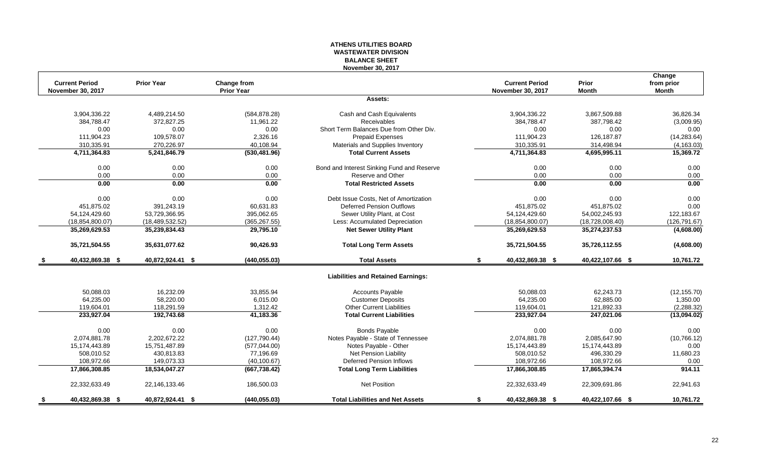# **ATHENS UTILITIES BOARD WASTEWATER DIVISION BALANCE SHEET November 30, 2017**

| <b>Current Period</b>  | <b>Prior Year</b> | Change from       |                                            | <b>Current Period</b>    | Prior            | Change<br>from prior |
|------------------------|-------------------|-------------------|--------------------------------------------|--------------------------|------------------|----------------------|
| November 30, 2017      |                   | <b>Prior Year</b> |                                            | <b>November 30, 2017</b> | <b>Month</b>     | Month                |
|                        |                   |                   | Assets:                                    |                          |                  |                      |
| 3,904,336.22           | 4,489,214.50      | (584, 878.28)     | Cash and Cash Equivalents                  | 3,904,336.22             | 3,867,509.88     | 36,826.34            |
| 384,788.47             | 372,827.25        | 11,961.22         | <b>Receivables</b>                         | 384,788.47               | 387,798.42       | (3,009.95)           |
| 0.00                   | 0.00              | 0.00              | Short Term Balances Due from Other Div.    | 0.00                     | 0.00             | 0.00                 |
| 111,904.23             | 109,578.07        | 2,326.16          | <b>Prepaid Expenses</b>                    | 111,904.23               | 126,187.87       | (14, 283.64)         |
| 310,335.91             | 270,226.97        | 40,108.94         | Materials and Supplies Inventory           | 310,335.91               | 314,498.94       | (4, 163.03)          |
| 4,711,364.83           | 5,241,846.79      | (530, 481.96)     | <b>Total Current Assets</b>                | 4,711,364.83             | 4,695,995.11     | 15,369.72            |
| 0.00                   | 0.00              | 0.00              | Bond and Interest Sinking Fund and Reserve | 0.00                     | 0.00             | 0.00                 |
| 0.00                   | 0.00              | 0.00              | Reserve and Other                          | 0.00                     | 0.00             | 0.00                 |
| 0.00                   | 0.00              | 0.00              | <b>Total Restricted Assets</b>             | 0.00                     | 0.00             | 0.00                 |
| 0.00                   | 0.00              | 0.00              | Debt Issue Costs, Net of Amortization      | 0.00                     | 0.00             | 0.00                 |
| 451,875.02             | 391,243.19        | 60,631.83         | <b>Deferred Pension Outflows</b>           | 451,875.02               | 451,875.02       | 0.00                 |
| 54,124,429.60          | 53,729,366.95     | 395,062.65        | Sewer Utility Plant, at Cost               | 54,124,429.60            | 54,002,245.93    | 122,183.67           |
| (18, 854, 800.07)      | (18, 489, 532.52) | (365, 267.55)     | Less: Accumulated Depreciation             | (18, 854, 800.07)        | (18,728,008.40)  | (126, 791.67)        |
| 35,269,629.53          | 35,239,834.43     | 29,795.10         | <b>Net Sewer Utility Plant</b>             | 35,269,629.53            | 35,274,237.53    | (4,608.00)           |
| 35,721,504.55          | 35,631,077.62     | 90,426.93         | <b>Total Long Term Assets</b>              | 35,721,504.55            | 35,726,112.55    | (4,608.00)           |
| 40,432,869.38 \$       | 40,872,924.41 \$  | (440, 055.03)     | <b>Total Assets</b>                        | 40,432,869.38 \$<br>\$   | 40,422,107.66 \$ | 10,761.72            |
|                        |                   |                   | <b>Liabilities and Retained Earnings:</b>  |                          |                  |                      |
| 50,088.03              | 16,232.09         | 33,855.94         | Accounts Payable                           | 50,088.03                | 62,243.73        | (12, 155.70)         |
| 64,235.00              | 58,220.00         | 6,015.00          | <b>Customer Deposits</b>                   | 64,235.00                | 62,885.00        | 1,350.00             |
| 119,604.01             | 118,291.59        | 1,312.42          | <b>Other Current Liabilities</b>           | 119,604.01               | 121,892.33       | (2,288.32)           |
| 233,927.04             | 192,743.68        | 41,183.36         | <b>Total Current Liabilities</b>           | 233,927.04               | 247,021.06       | (13,094.02)          |
| 0.00                   | 0.00              | 0.00              | <b>Bonds Payable</b>                       | 0.00                     | 0.00             | 0.00                 |
| 2,074,881.78           | 2,202,672.22      | (127, 790.44)     | Notes Payable - State of Tennessee         | 2,074,881.78             | 2,085,647.90     | (10, 766.12)         |
| 15,174,443.89          | 15,751,487.89     | (577, 044.00)     | Notes Payable - Other                      | 15,174,443.89            | 15,174,443.89    | 0.00                 |
| 508,010.52             | 430,813.83        | 77,196.69         | Net Pension Liability                      | 508,010.52               | 496,330.29       | 11,680.23            |
| 108,972.66             | 149.073.33        | (40, 100.67)      | <b>Deferred Pension Inflows</b>            | 108,972.66               | 108,972.66       | 0.00                 |
| 17,866,308.85          | 18,534,047.27     | (667, 738.42)     | <b>Total Long Term Liabilities</b>         | 17,866,308.85            | 17,865,394.74    | 914.11               |
| 22,332,633.49          | 22,146,133.46     | 186,500.03        | <b>Net Position</b>                        | 22,332,633.49            | 22,309,691.86    | 22,941.63            |
| \$<br>40,432,869.38 \$ | 40,872,924.41 \$  | (440, 055.03)     | <b>Total Liabilities and Net Assets</b>    | 40,432,869.38 \$<br>\$   | 40,422,107.66 \$ | 10,761.72            |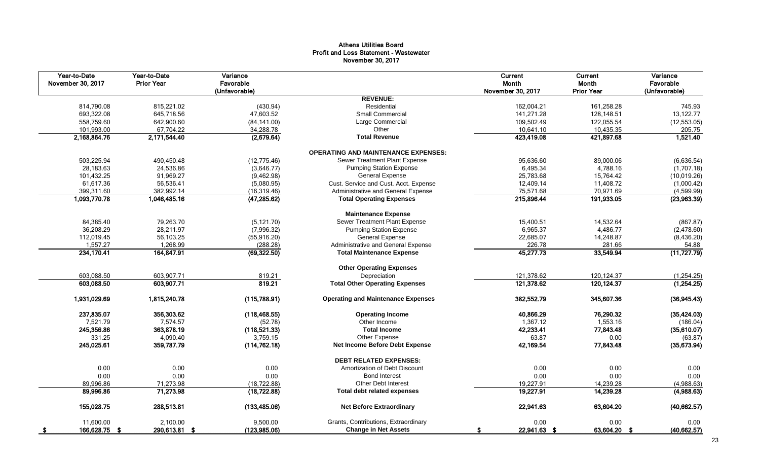# Athens Utilities Board Profit and Loss Statement - Wastewater November 30, 2017

| Year-to-Date<br>November 30, 2017 | Year-to-Date<br><b>Prior Year</b> | Variance<br>Favorable<br>(Unfavorable) |                                            | Current<br>Month<br>November 30, 2017 | Current<br>Month<br><b>Prior Year</b> | Variance<br>Favorable<br>(Unfavorable) |
|-----------------------------------|-----------------------------------|----------------------------------------|--------------------------------------------|---------------------------------------|---------------------------------------|----------------------------------------|
|                                   |                                   |                                        | <b>REVENUE:</b>                            |                                       |                                       |                                        |
| 814,790.08                        | 815,221.02                        | (430.94)                               | Residential                                | 162,004.21                            | 161,258.28                            | 745.93                                 |
| 693,322.08                        | 645,718.56                        | 47.603.52                              | <b>Small Commercial</b>                    | 141,271.28                            | 128,148.51                            | 13,122.77                              |
| 558,759.60                        | 642,900.60                        | (84, 141.00)                           | Large Commercial                           | 109,502.49                            | 122,055.54                            | (12, 553.05)                           |
| 101,993.00                        | 67,704.22                         | 34,288.78                              | Other                                      | 10,641.10                             | 10,435.35                             | 205.75                                 |
| 2,168,864.76                      | 2,171,544.40                      | (2,679.64)                             | <b>Total Revenue</b>                       | 423,419.08                            | 421,897.68                            | 1,521.40                               |
|                                   |                                   |                                        | <b>OPERATING AND MAINTENANCE EXPENSES:</b> |                                       |                                       |                                        |
| 503,225.94                        | 490,450.48                        | (12, 775.46)                           | Sewer Treatment Plant Expense              | 95,636.60                             | 89,000.06                             | (6,636.54)                             |
| 28,183.63                         | 24,536.86                         | (3,646.77)                             | <b>Pumping Station Expense</b>             | 6,495.34                              | 4,788.16                              | (1,707.18)                             |
| 101,432.25                        | 91,969.27                         | (9,462.98)                             | <b>General Expense</b>                     | 25,783.68                             | 15,764.42                             | (10,019.26)                            |
| 61,617.36                         | 56,536.41                         | (5,080.95)                             | Cust. Service and Cust. Acct. Expense      | 12,409.14                             | 11,408.72                             | (1,000.42)                             |
| 399,311.60                        | 382,992.14                        | (16, 319.46)                           | Administrative and General Expense         | 75,571.68                             | 70,971.69                             | (4,599.99)                             |
| 1,093,770.78                      | 1,046,485.16                      | (47, 285.62)                           | <b>Total Operating Expenses</b>            | 215,896.44                            | 191,933.05                            | (23,963.39)                            |
|                                   |                                   |                                        | <b>Maintenance Expense</b>                 |                                       |                                       |                                        |
| 84,385.40                         | 79,263.70                         | (5, 121.70)                            | Sewer Treatment Plant Expense              | 15,400.51                             | 14,532.64                             | (867.87)                               |
| 36,208.29                         | 28,211.97                         | (7,996.32)                             | <b>Pumping Station Expense</b>             | 6,965.37                              | 4,486.77                              | (2,478.60)                             |
| 112,019.45                        | 56,103.25                         | (55, 916.20)                           | <b>General Expense</b>                     | 22,685.07                             | 14,248.87                             | (8,436.20)                             |
| 1,557.27                          | 1,268.99                          | (288.28)                               | Administrative and General Expense         | 226.78                                | 281.66                                | 54.88                                  |
| 234,170.41                        | 164,847.91                        | (69, 322.50)                           | <b>Total Maintenance Expense</b>           | 45,277.73                             | 33,549.94                             | (11, 727.79)                           |
|                                   |                                   |                                        | <b>Other Operating Expenses</b>            |                                       |                                       |                                        |
| 603,088.50                        | 603,907.71                        | 819.21                                 | Depreciation                               | 121,378.62                            | 120,124.37                            | (1,254.25)                             |
| 603,088.50                        | 603,907.71                        | 819.21                                 | <b>Total Other Operating Expenses</b>      | 121,378.62                            | 120, 124.37                           | (1,254.25)                             |
| 1,931,029.69                      | 1,815,240.78                      | (115,788.91)                           | <b>Operating and Maintenance Expenses</b>  | 382,552.79                            | 345,607.36                            | (36,945.43)                            |
| 237,835.07                        | 356,303.62                        | (118, 468.55)                          | <b>Operating Income</b>                    | 40,866.29                             | 76,290.32                             | (35, 424.03)                           |
| 7,521.79                          | 7,574.57                          | (52.78)                                | Other Income                               | 1,367.12                              | 1,553.16                              | (186.04)                               |
| 245,356.86                        | 363,878.19                        | (118, 521.33)                          | <b>Total Income</b>                        | 42,233.41                             | 77,843.48                             | (35,610.07)                            |
| 331.25                            | 4,090.40                          | 3,759.15                               | Other Expense                              | 63.87                                 | 0.00                                  | (63.87)                                |
| 245,025.61                        | 359,787.79                        | (114, 762.18)                          | Net Income Before Debt Expense             | 42,169.54                             | 77,843.48                             | (35,673.94)                            |
|                                   |                                   |                                        | <b>DEBT RELATED EXPENSES:</b>              |                                       |                                       |                                        |
| 0.00                              | 0.00                              | 0.00                                   | Amortization of Debt Discount              | 0.00                                  | 0.00                                  | 0.00                                   |
| 0.00                              | 0.00                              | 0.00                                   | <b>Bond Interest</b>                       | 0.00                                  | 0.00                                  | 0.00                                   |
| 89,996.86                         | 71,273.98                         | (18, 722.88)                           | <b>Other Debt Interest</b>                 | 19,227.91                             | 14,239.28                             | (4,988.63)                             |
| 89,996.86                         | 71,273.98                         | (18, 722.88)                           | <b>Total debt related expenses</b>         | 19,227.91                             | 14,239.28                             | (4,988.63)                             |
| 155,028.75                        | 288,513.81                        | (133, 485.06)                          | <b>Net Before Extraordinary</b>            | 22,941.63                             | 63,604.20                             | (40, 662.57)                           |
| 11.600.00                         | 2.100.00                          | 9,500.00                               | Grants, Contributions, Extraordinary       | 0.00                                  | 0.00                                  | 0.00                                   |
| 166,628.75 \$                     | 290,613.81 \$                     | (123, 985.06)                          | <b>Change in Net Assets</b>                | 22,941.63 \$                          | 63,604.20 \$                          | (40, 662.57)                           |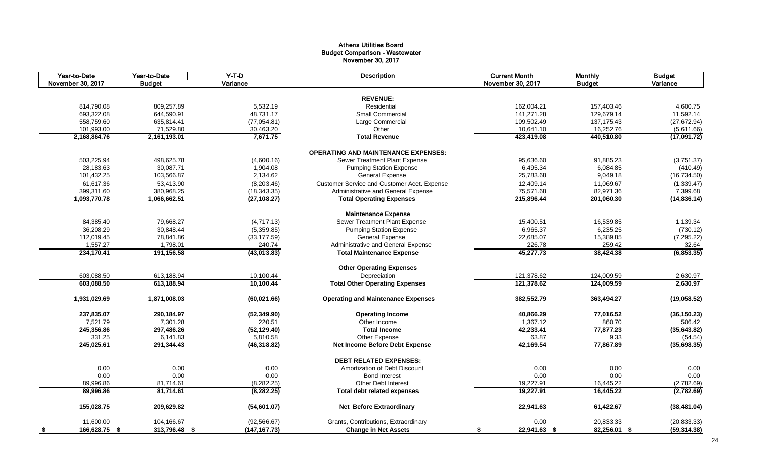# Athens Utilities Board Budget Comparison - Wastewater November 30, 2017

|      | Year-to-Date<br>November 30, 2017 | Year-to-Date<br><b>Budget</b> | $Y-T-D$<br>Variance   | <b>Description</b>                          | <b>Current Month</b><br>November 30, 2017 | <b>Monthly</b><br><b>Budget</b> | <b>Budget</b><br>Variance |
|------|-----------------------------------|-------------------------------|-----------------------|---------------------------------------------|-------------------------------------------|---------------------------------|---------------------------|
|      |                                   |                               |                       |                                             |                                           |                                 |                           |
|      |                                   |                               |                       | <b>REVENUE:</b>                             |                                           |                                 |                           |
|      | 814.790.08                        | 809.257.89                    | 5.532.19              | Residential                                 | 162.004.21                                | 157.403.46                      | 4,600.75                  |
|      | 693,322.08                        | 644,590.91                    | 48,731.17             | <b>Small Commercial</b>                     | 141,271.28                                | 129,679.14                      | 11,592.14                 |
|      | 558,759.60                        | 635,814.41                    | (77,054.81)           | Large Commercial                            | 109,502.49                                | 137, 175. 43                    | (27, 672.94)              |
|      | 101,993.00                        | 71,529.80                     | 30,463.20             | Other                                       | 10,641.10                                 | 16,252.76                       | (5,611.66)                |
|      | 2,168,864.76                      | 2,161,193.01                  | 7,671.75              | <b>Total Revenue</b>                        | 423,419.08                                | 440,510.80                      | (17,091.72)               |
|      |                                   |                               |                       | <b>OPERATING AND MAINTENANCE EXPENSES:</b>  |                                           |                                 |                           |
|      | 503,225.94                        | 498,625.78                    | (4,600.16)            | Sewer Treatment Plant Expense               | 95,636.60                                 | 91,885.23                       | (3,751.37)                |
|      | 28,183.63                         | 30,087.71                     | 1,904.08              | <b>Pumping Station Expense</b>              | 6,495.34                                  | 6,084.85                        | (410.49)                  |
|      | 101,432.25                        | 103,566.87                    | 2,134.62              | <b>General Expense</b>                      | 25,783.68                                 | 9,049.18                        | (16, 734.50)              |
|      | 61,617.36                         | 53,413.90                     | (8,203.46)            | Customer Service and Customer Acct. Expense | 12,409.14                                 | 11,069.67                       | (1,339.47)                |
|      | 399,311.60                        | 380,968.25                    | (18, 343.35)          | Administrative and General Expense          | 75,571.68                                 | 82,971.36                       | 7,399.68                  |
|      | 1,093,770.78                      | 1,066,662.51                  | (27, 108.27)          | <b>Total Operating Expenses</b>             | 215,896.44                                | 201,060.30                      | (14, 836.14)              |
|      |                                   |                               |                       | <b>Maintenance Expense</b>                  |                                           |                                 |                           |
|      | 84,385.40                         | 79,668.27                     | (4,717.13)            | Sewer Treatment Plant Expense               | 15,400.51                                 | 16,539.85                       | 1,139.34                  |
|      | 36,208.29                         | 30,848.44                     | (5,359.85)            | <b>Pumping Station Expense</b>              | 6,965.37                                  | 6,235.25                        | (730.12)                  |
|      | 112,019.45                        | 78,841.86                     | (33, 177.59)          | <b>General Expense</b>                      | 22,685.07                                 | 15,389.85                       | (7, 295.22)               |
|      |                                   | 1,798.01                      |                       | Administrative and General Expense          | 226.78                                    | 259.42                          | 32.64                     |
|      | 1,557.27<br>234,170.41            | 191,156.58                    | 240.74<br>(43,013.83) | <b>Total Maintenance Expense</b>            | 45,277.73                                 | 38,424.38                       | (6, 853.35)               |
|      |                                   |                               |                       |                                             |                                           |                                 |                           |
|      |                                   |                               |                       | <b>Other Operating Expenses</b>             |                                           |                                 |                           |
|      | 603,088.50                        | 613,188.94                    | 10,100.44             | Depreciation                                | 121,378.62                                | 124,009.59                      | 2,630.97                  |
|      | 603,088.50                        | 613,188.94                    | 10,100.44             | <b>Total Other Operating Expenses</b>       | 121,378.62                                | 124,009.59                      | 2,630.97                  |
|      | 1,931,029.69                      | 1,871,008.03                  | (60, 021.66)          | <b>Operating and Maintenance Expenses</b>   | 382,552.79                                | 363,494.27                      | (19,058.52)               |
|      | 237,835.07                        | 290,184.97                    | (52, 349.90)          | <b>Operating Income</b>                     | 40,866.29                                 | 77,016.52                       | (36, 150.23)              |
|      | 7,521.79                          | 7,301.28                      | 220.51                | Other Income                                | 1,367.12                                  | 860.70                          | 506.42                    |
|      | 245,356.86                        | 297,486.26                    | (52, 129.40)          | <b>Total Income</b>                         | 42,233.41                                 | 77,877.23                       | (35, 643.82)              |
|      | 331.25                            | 6,141.83                      | 5,810.58              | Other Expense                               | 63.87                                     | 9.33                            | (54.54)                   |
|      | 245,025.61                        | 291,344.43                    | (46, 318.82)          | Net Income Before Debt Expense              | 42,169.54                                 | 77,867.89                       | (35, 698.35)              |
|      |                                   |                               |                       | <b>DEBT RELATED EXPENSES:</b>               |                                           |                                 |                           |
|      | 0.00                              | 0.00                          | 0.00                  | Amortization of Debt Discount               | 0.00                                      | 0.00                            | 0.00                      |
|      | 0.00                              | 0.00                          | 0.00                  | <b>Bond Interest</b>                        | 0.00                                      | 0.00                            | 0.00                      |
|      | 89,996.86                         | 81,714.61                     | (8, 282.25)           | <b>Other Debt Interest</b>                  | 19,227.91                                 | 16,445.22                       | (2,782.69)                |
|      | 89,996.86                         | 81,714.61                     | (8, 282.25)           | <b>Total debt related expenses</b>          | 19,227.91                                 | 16,445.22                       | (2,782.69)                |
|      | 155,028.75                        | 209,629.82                    | (54,601.07)           | <b>Net Before Extraordinary</b>             | 22,941.63                                 | 61,422.67                       | (38, 481.04)              |
|      | 11,600.00                         | 104,166.67                    | (92, 566.67)          | Grants, Contributions, Extraordinary        | 0.00                                      | 20,833.33                       | (20, 833.33)              |
| - \$ | 166,628.75 \$                     | 313,796.48 \$                 | (147, 167.73)         | <b>Change in Net Assets</b>                 | 22,941.63 \$<br>\$                        | 82,256.01 \$                    | (59, 314.38)              |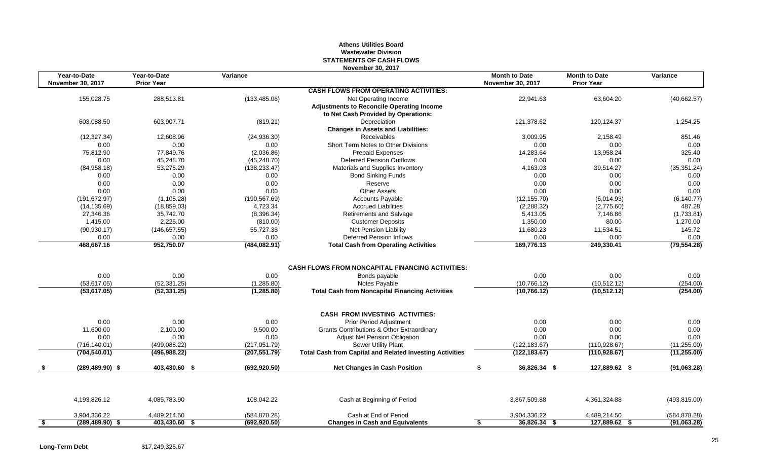# **Athens Utilities Board Wastewater Division STATEMENTS OF CASH FLOWS November 30, 2017**

|      | Year-to-Date<br><b>November 30, 2017</b> | Year-to-Date<br><b>Prior Year</b> | Variance                       |                                                                                | <b>Month to Date</b><br><b>November 30, 2017</b> | <b>Month to Date</b><br><b>Prior Year</b> | Variance             |
|------|------------------------------------------|-----------------------------------|--------------------------------|--------------------------------------------------------------------------------|--------------------------------------------------|-------------------------------------------|----------------------|
|      |                                          |                                   |                                | <b>CASH FLOWS FROM OPERATING ACTIVITIES:</b>                                   |                                                  |                                           |                      |
|      | 155,028.75                               | 288,513.81                        | (133, 485.06)                  | Net Operating Income                                                           | 22,941.63                                        | 63,604.20                                 | (40,662.57)          |
|      |                                          |                                   |                                | <b>Adjustments to Reconcile Operating Income</b>                               |                                                  |                                           |                      |
|      |                                          |                                   |                                | to Net Cash Provided by Operations:                                            |                                                  |                                           |                      |
|      | 603.088.50                               | 603,907.71                        | (819.21)                       | Depreciation                                                                   | 121.378.62                                       | 120.124.37                                | 1,254.25             |
|      |                                          |                                   |                                | <b>Changes in Assets and Liabilities:</b>                                      |                                                  |                                           |                      |
|      | (12, 327.34)                             | 12,608.96                         | (24,936.30)                    | Receivables                                                                    | 3,009.95                                         | 2.158.49                                  | 851.46               |
|      | 0.00                                     | 0.00                              | 0.00                           | Short Term Notes to Other Divisions                                            | 0.00                                             | 0.00                                      | 0.00                 |
|      | 75,812.90                                | 77,849.76                         | (2,036.86)                     | <b>Prepaid Expenses</b>                                                        | 14,283.64                                        | 13,958.24                                 | 325.40               |
|      | 0.00                                     | 45,248.70                         | (45, 248.70)                   | <b>Deferred Pension Outflows</b>                                               | 0.00                                             | 0.00                                      | 0.00                 |
|      | (84,958.18)                              | 53,275.29                         | (138, 233.47)                  | Materials and Supplies Inventory                                               | 4,163.03                                         | 39,514.27                                 | (35, 351.24)         |
|      | 0.00                                     | 0.00                              | 0.00                           | <b>Bond Sinking Funds</b>                                                      | 0.00                                             | 0.00                                      | $0.00\,$             |
|      | 0.00                                     | 0.00                              | 0.00                           | Reserve                                                                        | 0.00                                             | 0.00                                      | 0.00                 |
|      | 0.00                                     | 0.00                              | 0.00                           | <b>Other Assets</b>                                                            | 0.00                                             | 0.00                                      | 0.00                 |
|      | (191, 672.97)                            | (1, 105.28)                       | (190, 567.69)                  | <b>Accounts Payable</b>                                                        | (12, 155.70)                                     | (6,014.93)                                | (6, 140.77)          |
|      | (14, 135.69)                             | (18, 859.03)                      | 4,723.34                       | <b>Accrued Liabilities</b>                                                     | (2,288.32)                                       | (2,775.60)                                | 487.28               |
|      | 27,346.36                                | 35,742.70                         | (8,396.34)                     | <b>Retirements and Salvage</b>                                                 | 5,413.05                                         | 7,146.86                                  | (1,733.81)           |
|      | 1,415.00                                 | 2,225.00                          | (810.00)                       | <b>Customer Deposits</b>                                                       | 1,350.00                                         | 80.00                                     | 1,270.00             |
|      | (90, 930.17)                             | (146, 657.55)                     | 55,727.38                      | Net Pension Liability                                                          | 11,680.23                                        | 11,534.51                                 | 145.72               |
|      | 0.00<br>468,667.16                       | 0.00<br>952,750.07                | 0.00<br>(484, 082.91)          | <b>Deferred Pension Inflows</b><br><b>Total Cash from Operating Activities</b> | 0.00<br>169,776.13                               | 0.00<br>249,330.41                        | 0.00<br>(79, 554.28) |
|      |                                          |                                   |                                | <b>CASH FLOWS FROM NONCAPITAL FINANCING ACTIVITIES:</b>                        |                                                  |                                           |                      |
|      | 0.00                                     | 0.00                              | 0.00                           | Bonds payable                                                                  | 0.00                                             | 0.00                                      | 0.00                 |
|      | (53,617.05)                              | (52, 331.25)                      | (1,285.80)                     | Notes Payable                                                                  | (10, 766.12)                                     | (10,512.12)                               | (254.00)             |
|      | (53,617.05)                              | (52, 331.25)                      | (1, 285.80)                    | <b>Total Cash from Noncapital Financing Activities</b>                         | (10, 766.12)                                     | (10, 512.12)                              | (254.00)             |
|      |                                          |                                   |                                |                                                                                |                                                  |                                           |                      |
|      | 0.00                                     | 0.00                              | 0.00                           | <b>CASH FROM INVESTING ACTIVITIES:</b><br><b>Prior Period Adjustment</b>       | 0.00                                             | 0.00                                      | 0.00                 |
|      | 11,600.00                                | 2,100.00                          |                                | Grants Contributions & Other Extraordinary                                     |                                                  | 0.00                                      | 0.00                 |
|      | 0.00                                     | 0.00                              | 9,500.00<br>0.00               | Adjust Net Pension Obligation                                                  | 0.00<br>0.00                                     | 0.00                                      | 0.00                 |
|      |                                          |                                   |                                |                                                                                |                                                  |                                           | (11, 255.00)         |
|      | (704, 540.01)                            | (496, 988.22)                     | (207, 551.79)                  | <b>Total Cash from Capital and Related Investing Activities</b>                | (122, 183.67)                                    | (110, 928.67)                             | (11, 255.00)         |
|      |                                          | 403,430.60 \$                     |                                |                                                                                | 36,826.34 \$<br>\$                               | 127,889.62 \$                             | (91,063.28)          |
|      | (716, 140.01)<br>$(289, 489.90)$ \$      | (499, 088.22)                     | (217, 051.79)<br>(692, 920.50) | Sewer Utility Plant<br><b>Net Changes in Cash Position</b>                     | (122, 183.67)                                    | (110, 928.67)                             |                      |
|      | 4,193,826.12                             | 4,085,783.90                      | 108,042.22                     | Cash at Beginning of Period                                                    | 3,867,509.88                                     | 4,361,324.88                              | (493, 815.00)        |
|      | 3,904,336.22                             | 4,489,214.50                      | (584, 878.28)                  | Cash at End of Period                                                          | 3,904,336.22                                     | 4,489,214.50                              | (584, 878.28)        |
| - \$ | $(289, 489.90)$ \$                       | 403,430.60 \$                     | (692, 920.50)                  | <b>Changes in Cash and Equivalents</b>                                         | 36,826.34 \$<br>\$                               | 127,889.62 \$                             | (91,063.28)          |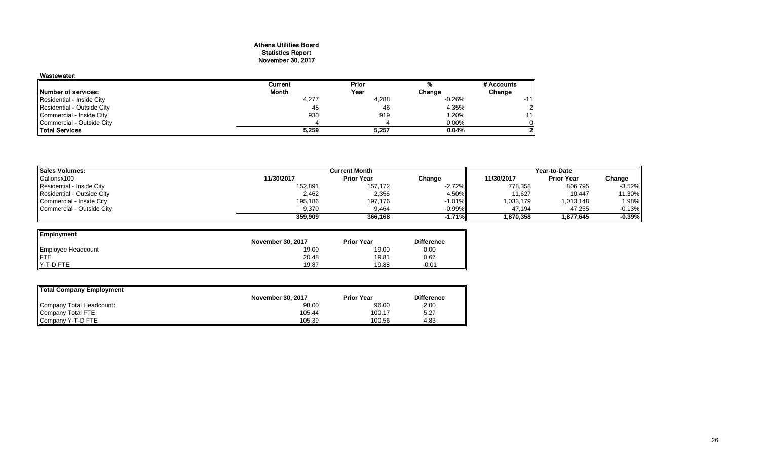# Athens Utilities Board Statistics Report November 30, 2017

| Wastewater:                 |              |       |          |            |
|-----------------------------|--------------|-------|----------|------------|
|                             | Current      | Prior |          | # Accounts |
| <b>INumber of services:</b> | <b>Month</b> | Year  | Change   | Change     |
| Residential - Inside City   | 4,277        | 4,288 | $-0.26%$ | $-11$      |
| Residential - Outside City  | 48           | 46    | 4.35%    |            |
| Commercial - Inside City    | 930          | 919   | 1.20%    | 11         |
| Commercial - Outside City   |              |       | 0.00%    |            |
| <b>ITotal Services</b>      | 5,259        | 5,257 | 0.04%    |            |

| <b>Sales Volumes:</b>      | <b>Current Month</b> |                   |           | Year-to-Date |                   |                 |  |  |
|----------------------------|----------------------|-------------------|-----------|--------------|-------------------|-----------------|--|--|
| Gallonsx100                | 11/30/2017           | <b>Prior Year</b> | Change    | 11/30/2017   | <b>Prior Year</b> | Change          |  |  |
| Residential - Inside City  | 152,891              | 157,172           | $-2.72\%$ | 778,358      | 806,795           | $-3.52%$        |  |  |
| Residential - Outside City | 2,462                | 2,356             | 4.50%     | 11,627       | 10.447            | 11.30%          |  |  |
| Commercial - Inside City   | 195,186              | 197,176           | $-1.01\%$ | 1,033,179    | 1,013,148         | .98%            |  |  |
| Commercial - Outside City  | 9,370                | 9,464             | $-0.99\%$ | 47.194       | 47.255            | -0.13% <b>"</b> |  |  |
|                            | 359.909              | 366.168           | $-1.71%$  | 1.870.358    | 1.877.645         | $-0.39%$        |  |  |

—

| <b>Employment</b>  |                          |                   |                   |
|--------------------|--------------------------|-------------------|-------------------|
|                    | <b>November 30, 2017</b> | <b>Prior Year</b> | <b>Difference</b> |
| Employee Headcount | 19.00                    | 19.00             | 0.00              |
| FTE                | 20.48                    | 19.81             | 0.67              |
| Y-T-D FTE          | 19.87                    | 19.88             | $-0.01$           |

| Total Company Employment |                          |                   |                   |
|--------------------------|--------------------------|-------------------|-------------------|
|                          | <b>November 30, 2017</b> | <b>Prior Year</b> | <b>Difference</b> |
| Company Total Headcount: | 98.00                    | 96.00             | 2.00              |
| Company Total FTE        | 105.44                   | 100.17            | 5.27              |
| Company Y-T-D FTE        | 105.39                   | 100.56            | 4.83              |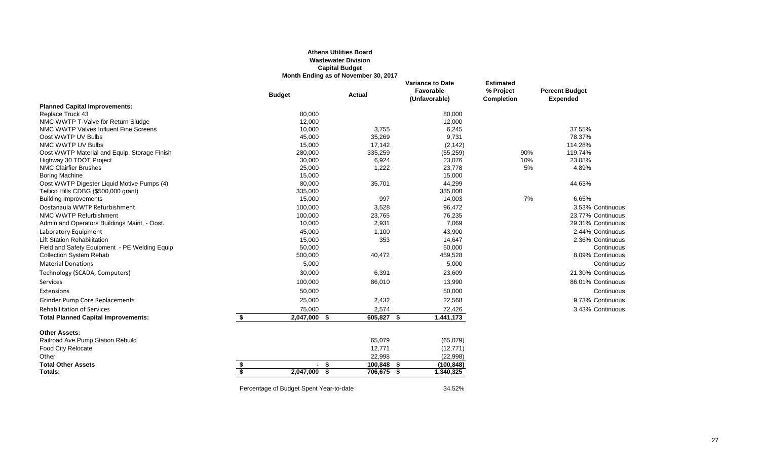# **Athens Utilities Board Wastewater Division Capital Budget Month Ending as of November 30, 2017**

|                                               | <b>Budget</b>                           | <b>Actual</b>           | <b>Variance to Date</b><br>Favorable<br>(Unfavorable) | <b>Estimated</b><br>% Project<br><b>Completion</b> | <b>Percent Budget</b><br><b>Expended</b> |
|-----------------------------------------------|-----------------------------------------|-------------------------|-------------------------------------------------------|----------------------------------------------------|------------------------------------------|
| <b>Planned Capital Improvements:</b>          |                                         |                         |                                                       |                                                    |                                          |
| Replace Truck 43                              | 80,000                                  |                         | 80,000                                                |                                                    |                                          |
| NMC WWTP T-Valve for Return Sludge            | 12,000                                  |                         | 12,000                                                |                                                    |                                          |
| NMC WWTP Valves Influent Fine Screens         | 10,000                                  | 3,755                   | 6,245                                                 |                                                    | 37.55%                                   |
| Oost WWTP UV Bulbs                            | 45,000                                  | 35,269                  | 9,731                                                 |                                                    | 78.37%                                   |
| NMC WWTP UV Bulbs                             | 15,000                                  | 17,142                  | (2, 142)                                              |                                                    | 114.28%                                  |
| Oost WWTP Material and Equip. Storage Finish  | 280,000                                 | 335,259                 | (55, 259)                                             | 90%                                                | 119.74%                                  |
| Highway 30 TDOT Project                       | 30,000                                  | 6,924                   | 23,076                                                | 10%                                                | 23.08%                                   |
| <b>NMC Clairfier Brushes</b>                  | 25,000                                  | 1,222                   | 23,778                                                | 5%                                                 | 4.89%                                    |
| <b>Boring Machine</b>                         | 15,000                                  |                         | 15,000                                                |                                                    |                                          |
| Oost WWTP Digester Liquid Motive Pumps (4)    | 80,000                                  | 35,701                  | 44,299                                                |                                                    | 44.63%                                   |
| Tellico Hills CDBG (\$500,000 grant)          | 335,000                                 |                         | 335,000                                               |                                                    |                                          |
| <b>Building Improvements</b>                  | 15,000                                  | 997                     | 14,003                                                | 7%                                                 | 6.65%                                    |
| Oostanaula WWTP Refurbishment                 | 100,000                                 | 3,528                   | 96,472                                                |                                                    | 3.53% Continuous                         |
| NMC WWTP Refurbishment                        | 100,000                                 | 23,765                  | 76,235                                                |                                                    | 23.77% Continuous                        |
| Admin and Operators Buildings Maint. - Oost.  | 10,000                                  | 2,931                   | 7,069                                                 |                                                    | 29.31% Continuous                        |
| Laboratory Equipment                          | 45,000                                  | 1,100                   | 43,900                                                |                                                    | 2.44% Continuous                         |
| <b>Lift Station Rehabilitation</b>            | 15,000                                  | 353                     | 14,647                                                |                                                    | 2.36% Continuous                         |
| Field and Safety Equipment - PE Welding Equip | 50,000                                  |                         | 50,000                                                |                                                    | Continuous                               |
| <b>Collection System Rehab</b>                | 500,000                                 | 40,472                  | 459,528                                               |                                                    | 8.09% Continuous                         |
| <b>Material Donations</b>                     | 5,000                                   |                         | 5,000                                                 |                                                    | Continuous                               |
| Technology (SCADA, Computers)                 | 30,000                                  | 6,391                   | 23,609                                                |                                                    | 21.30% Continuous                        |
| Services                                      | 100,000                                 | 86,010                  | 13,990                                                |                                                    | 86.01% Continuous                        |
| Extensions                                    | 50,000                                  |                         | 50,000                                                |                                                    | Continuous                               |
| <b>Grinder Pump Core Replacements</b>         | 25,000                                  | 2,432                   | 22,568                                                |                                                    | 9.73% Continuous                         |
| <b>Rehabilitation of Services</b>             | 75,000                                  | 2,574                   | 72,426                                                |                                                    | 3.43% Continuous                         |
| <b>Total Planned Capital Improvements:</b>    | \$<br>2,047,000                         | 605,827 \$<br>- \$      | 1,441,173                                             |                                                    |                                          |
| <b>Other Assets:</b>                          |                                         |                         |                                                       |                                                    |                                          |
| Railroad Ave Pump Station Rebuild             |                                         | 65,079                  | (65,079)                                              |                                                    |                                          |
| <b>Food City Relocate</b>                     |                                         | 12,771                  | (12, 771)                                             |                                                    |                                          |
| Other                                         |                                         | 22,998                  | (22,998)                                              |                                                    |                                          |
| <b>Total Other Assets</b>                     | - \$                                    | 100,848<br>- \$         | (100, 848)                                            |                                                    |                                          |
| Totals:                                       | 2,047,000                               | - \$<br>706,675<br>- \$ | 1,340,325                                             |                                                    |                                          |
|                                               | Percentage of Budget Spent Year-to-date |                         | 34.52%                                                |                                                    |                                          |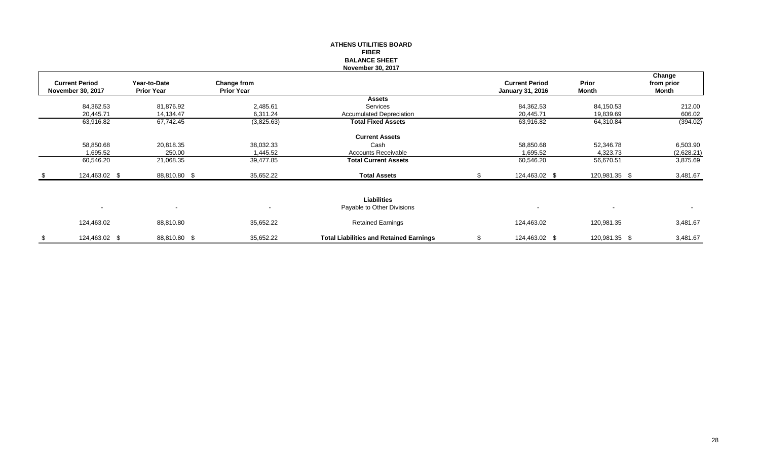|                                                   |                                   |                                  | <b>FIBER</b><br><b>BALANCE SHEET</b><br>November 30, 2017 |                                                  |                       |                               |
|---------------------------------------------------|-----------------------------------|----------------------------------|-----------------------------------------------------------|--------------------------------------------------|-----------------------|-------------------------------|
| <b>Current Period</b><br><b>November 30, 2017</b> | Year-to-Date<br><b>Prior Year</b> | Change from<br><b>Prior Year</b> |                                                           | <b>Current Period</b><br><b>January 31, 2016</b> | Prior<br><b>Month</b> | Change<br>from prior<br>Month |
|                                                   |                                   |                                  | <b>Assets</b>                                             |                                                  |                       |                               |
| 84,362.53                                         | 81,876.92                         | 2,485.61                         | <b>Services</b>                                           | 84,362.53                                        | 84,150.53             | 212.00                        |
| 20,445.71                                         | 14,134.47                         | 6,311.24                         | <b>Accumulated Depreciation</b>                           | 20,445.71                                        | 19,839.69             | 606.02                        |
| 63,916.82                                         | 67,742.45                         | (3,825.63)                       | <b>Total Fixed Assets</b>                                 | 63,916.82                                        | 64,310.84             | (394.02)                      |
|                                                   |                                   |                                  | <b>Current Assets</b>                                     |                                                  |                       |                               |
| 58,850.68                                         | 20,818.35                         | 38,032.33                        | Cash                                                      | 58,850.68                                        | 52,346.78             | 6,503.90                      |
| 1,695.52                                          | 250.00                            | 1,445.52                         | <b>Accounts Receivable</b>                                | 1,695.52                                         | 4,323.73              | (2,628.21)                    |
| 60,546.20                                         | 21,068.35                         | 39,477.85                        | <b>Total Current Assets</b>                               | 60,546.20                                        | 56,670.51             | 3,875.69                      |
| 124,463.02 \$                                     | 88,810.80 \$                      | 35,652.22                        | <b>Total Assets</b>                                       | 124,463.02 \$                                    | 120,981.35 \$         | 3,481.67                      |
| $\overline{\phantom{a}}$                          | $\blacksquare$                    | $\overline{\phantom{a}}$         | <b>Liabilities</b><br>Payable to Other Divisions          | $\overline{\phantom{a}}$                         |                       | $\sim$                        |
| 124,463.02                                        | 88,810.80                         | 35,652.22                        | <b>Retained Earnings</b>                                  | 124,463.02                                       | 120,981.35            | 3,481.67                      |
| \$<br>124,463.02 \$                               | 88,810.80 \$                      | 35,652.22                        | <b>Total Liabilities and Retained Earnings</b>            | \$<br>124,463.02 \$                              | 120,981.35 \$         | 3,481.67                      |

**ATHENS UTILITIES BOARD**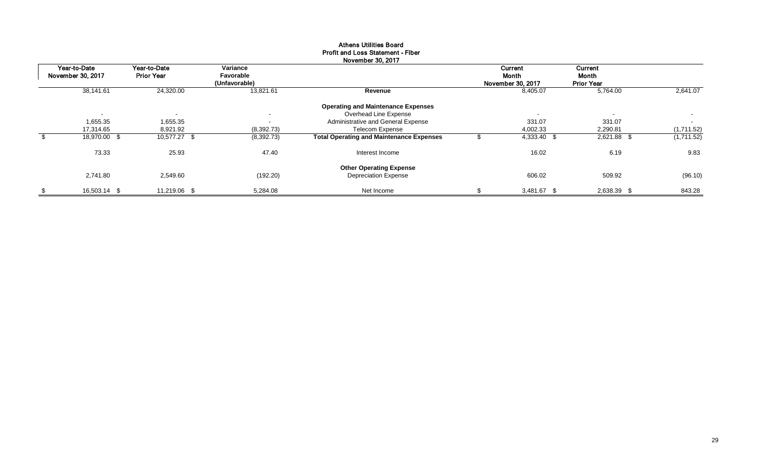| November 30, 2017 |                                   |                                   |                                        |                                                 |  |                                       |                                       |            |  |  |  |
|-------------------|-----------------------------------|-----------------------------------|----------------------------------------|-------------------------------------------------|--|---------------------------------------|---------------------------------------|------------|--|--|--|
|                   | Year-to-Date<br>November 30, 2017 | Year-to-Date<br><b>Prior Year</b> | Variance<br>Favorable<br>(Unfavorable) |                                                 |  | Current<br>Month<br>November 30, 2017 | Current<br>Month<br><b>Prior Year</b> |            |  |  |  |
|                   | 38,141.61                         | 24,320.00                         | 13,821.61                              | Revenue                                         |  | 8,405.07                              | 5,764.00                              | 2,641.07   |  |  |  |
|                   |                                   |                                   |                                        | <b>Operating and Maintenance Expenses</b>       |  |                                       |                                       |            |  |  |  |
|                   | $\overline{\phantom{0}}$          | $\overline{\phantom{a}}$          | $\sim$                                 | Overhead Line Expense                           |  | $\overline{\phantom{a}}$              | $\overline{\phantom{a}}$              | $\sim$     |  |  |  |
|                   | 1,655.35                          | 1,655.35                          | $\sim$                                 | Administrative and General Expense              |  | 331.07                                | 331.07                                | $\sim$     |  |  |  |
|                   | 17,314.65                         | 8,921.92                          | (8,392.73)                             | <b>Telecom Expense</b>                          |  | 4,002.33                              | 2,290.81                              | (1,711.52) |  |  |  |
|                   | 18,970.00 \$                      | 10,577.27 \$                      | (8,392.73)                             | <b>Total Operating and Maintenance Expenses</b> |  | 4,333.40 \$                           | 2,621.88 \$                           | (1,711.52) |  |  |  |
|                   | 73.33                             | 25.93                             | 47.40                                  | Interest Income                                 |  | 16.02                                 | 6.19                                  | 9.83       |  |  |  |
|                   |                                   |                                   |                                        | <b>Other Operating Expense</b>                  |  |                                       |                                       |            |  |  |  |
|                   | 2,741.80                          | 2,549.60                          | (192.20)                               | <b>Depreciation Expense</b>                     |  | 606.02                                | 509.92                                | (96.10)    |  |  |  |
| \$                | 16,503.14 \$                      | 11,219.06 \$                      | 5.284.08                               | Net Income                                      |  | 3,481.67 \$                           | 2,638.39 \$                           | 843.28     |  |  |  |

# Athens Utilities Board Profit and Loss Statement - Fiber